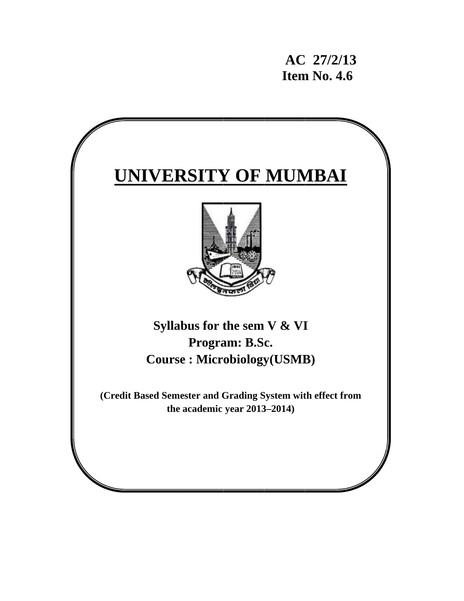**AC C 27/2/1 13 11. 11.6 11.6** 

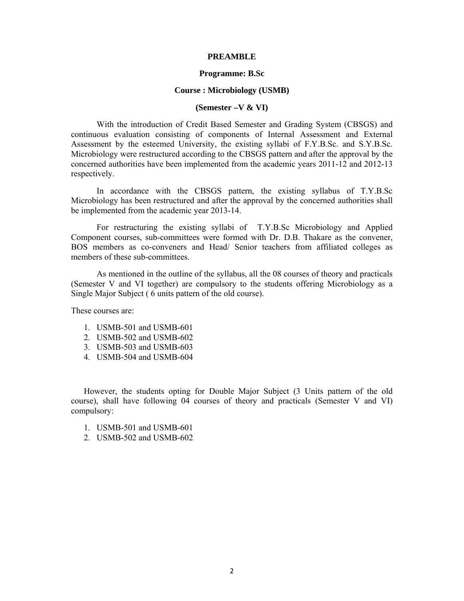#### **PREAMBLE**

#### **Programme: B.Sc**

#### **Course : Microbiology (USMB)**

#### **(Semester –V & VI)**

With the introduction of Credit Based Semester and Grading System (CBSGS) and continuous evaluation consisting of components of Internal Assessment and External Assessment by the esteemed University, the existing syllabi of F.Y.B.Sc. and S.Y.B.Sc. Microbiology were restructured according to the CBSGS pattern and after the approval by the concerned authorities have been implemented from the academic years 2011-12 and 2012-13 respectively.

In accordance with the CBSGS pattern, the existing syllabus of T.Y.B.Sc Microbiology has been restructured and after the approval by the concerned authorities shall be implemented from the academic year 2013-14.

For restructuring the existing syllabi of T.Y.B.Sc Microbiology and Applied Component courses, sub-committees were formed with Dr. D.B. Thakare as the convener, BOS members as co-conveners and Head/ Senior teachers from affiliated colleges as members of these sub-committees.

As mentioned in the outline of the syllabus, all the 08 courses of theory and practicals (Semester V and VI together) are compulsory to the students offering Microbiology as a Single Major Subject ( 6 units pattern of the old course).

These courses are:

- 1. USMB-501 and USMB-601
- 2. USMB-502 and USMB-602
- 3. USMB-503 and USMB-603
- 4. USMB-504 and USMB-604

However, the students opting for Double Major Subject (3 Units pattern of the old course), shall have following 04 courses of theory and practicals (Semester V and VI) compulsory:

- 1. USMB-501 and USMB-601
- 2. USMB-502 and USMB-602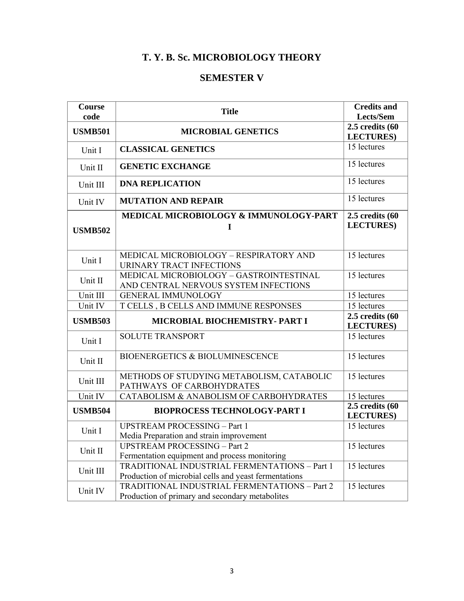# **T. Y. B. Sc. MICROBIOLOGY THEORY**

# **SEMESTER V**

| Course<br>code | <b>Title</b>                                                                                           | <b>Credits and</b><br>Lects/Sem           |
|----------------|--------------------------------------------------------------------------------------------------------|-------------------------------------------|
| <b>USMB501</b> | <b>MICROBIAL GENETICS</b>                                                                              | $2.5$ credits $(60)$<br><b>LECTURES</b> ) |
| Unit I         | <b>CLASSICAL GENETICS</b>                                                                              | 15 lectures                               |
| Unit II        | <b>GENETIC EXCHANGE</b>                                                                                | 15 lectures                               |
| Unit III       | <b>DNA REPLICATION</b>                                                                                 | 15 lectures                               |
| Unit IV        | <b>MUTATION AND REPAIR</b>                                                                             | 15 lectures                               |
| <b>USMB502</b> | MEDICAL MICROBIOLOGY & IMMUNOLOGY-PART<br>I                                                            | $2.5$ credits $(60)$<br><b>LECTURES</b> ) |
| Unit I         | MEDICAL MICROBIOLOGY - RESPIRATORY AND<br><b>URINARY TRACT INFECTIONS</b>                              | 15 lectures                               |
| Unit II        | MEDICAL MICROBIOLOGY - GASTROINTESTINAL<br>AND CENTRAL NERVOUS SYSTEM INFECTIONS                       | 15 lectures                               |
| Unit III       | <b>GENERAL IMMUNOLOGY</b>                                                                              | 15 lectures                               |
| Unit IV        | T CELLS, B CELLS AND IMMUNE RESPONSES                                                                  | 15 lectures                               |
| <b>USMB503</b> | MICROBIAL BIOCHEMISTRY- PART I                                                                         | $2.5$ credits $(60)$<br><b>LECTURES</b> ) |
| Unit I         | <b>SOLUTE TRANSPORT</b>                                                                                | 15 lectures                               |
| Unit II        | <b>BIOENERGETICS &amp; BIOLUMINESCENCE</b>                                                             | 15 lectures                               |
| Unit III       | METHODS OF STUDYING METABOLISM, CATABOLIC<br>PATHWAYS OF CARBOHYDRATES                                 | 15 lectures                               |
| Unit IV        | CATABOLISM & ANABOLISM OF CARBOHYDRATES                                                                | 15 lectures                               |
| <b>USMB504</b> | <b>BIOPROCESS TECHNOLOGY-PART I</b>                                                                    | $2.5$ credits $(60)$<br><b>LECTURES</b> ) |
| Unit I         | <b>UPSTREAM PROCESSING - Part 1</b><br>Media Preparation and strain improvement                        | 15 lectures                               |
| Unit II        | <b>UPSTREAM PROCESSING - Part 2</b><br>Fermentation equipment and process monitoring                   | 15 lectures                               |
| Unit III       | TRADITIONAL INDUSTRIAL FERMENTATIONS - Part 1<br>Production of microbial cells and yeast fermentations | 15 lectures                               |
| Unit IV        | TRADITIONAL INDUSTRIAL FERMENTATIONS - Part 2<br>Production of primary and secondary metabolites       | 15 lectures                               |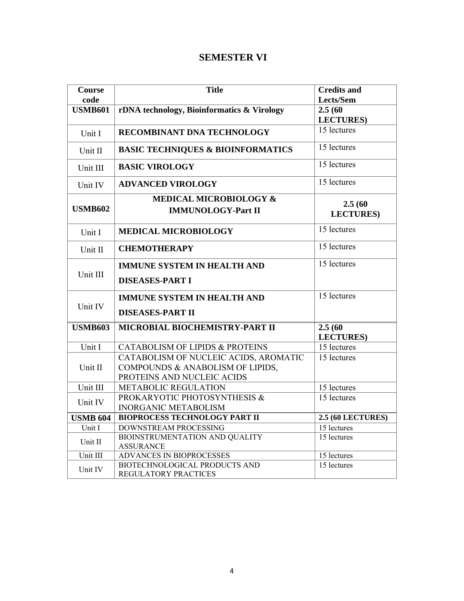# **SEMESTER VI**

| Course          | <b>Title</b>                                                | <b>Credits and</b>       |
|-----------------|-------------------------------------------------------------|--------------------------|
| code            |                                                             | Lects/Sem                |
| <b>USMB601</b>  | rDNA technology, Bioinformatics & Virology                  | 2.5(60)                  |
|                 |                                                             | <b>LECTURES</b> )        |
| Unit I          | RECOMBINANT DNA TECHNOLOGY                                  | 15 lectures              |
| Unit II         | <b>BASIC TECHNIQUES &amp; BIOINFORMATICS</b>                | 15 lectures              |
| Unit III        | <b>BASIC VIROLOGY</b>                                       | $\overline{15}$ lectures |
| Unit IV         | <b>ADVANCED VIROLOGY</b>                                    | $\overline{15}$ lectures |
|                 | <b>MEDICAL MICROBIOLOGY &amp;</b>                           | 2.5(60)                  |
| <b>USMB602</b>  | <b>IMMUNOLOGY-Part II</b>                                   | <b>LECTURES</b> )        |
| Unit I          | <b>MEDICAL MICROBIOLOGY</b>                                 | 15 lectures              |
| Unit II         | <b>CHEMOTHERAPY</b>                                         | 15 lectures              |
|                 | <b>IMMUNE SYSTEM IN HEALTH AND</b>                          | 15 lectures              |
| Unit III        | <b>DISEASES-PART I</b>                                      |                          |
|                 | <b>IMMUNE SYSTEM IN HEALTH AND</b>                          | 15 lectures              |
| Unit IV         | <b>DISEASES-PART II</b>                                     |                          |
| <b>USMB603</b>  | <b>MICROBIAL BIOCHEMISTRY-PART II</b>                       | 2.5(60)                  |
|                 |                                                             | <b>LECTURES</b> )        |
| Unit I          | CATABOLISM OF LIPIDS & PROTEINS                             | 15 lectures              |
|                 | CATABOLISM OF NUCLEIC ACIDS, AROMATIC                       | $\overline{15}$ lectures |
| Unit II         | COMPOUNDS & ANABOLISM OF LIPIDS,                            |                          |
|                 | PROTEINS AND NUCLEIC ACIDS                                  |                          |
| Unit III        | <b>METABOLIC REGULATION</b>                                 | $\overline{15}$ lectures |
| Unit IV         | PROKARYOTIC PHOTOSYNTHESIS &<br><b>INORGANIC METABOLISM</b> | 15 lectures              |
| <b>USMB 604</b> | <b>BIOPROCESS TECHNOLOGY PART II</b>                        | <b>2.5 (60 LECTURES)</b> |
| Unit I          | DOWNSTREAM PROCESSING                                       | 15 lectures              |
| Unit II         | BIOINSTRUMENTATION AND QUALITY<br><b>ASSURANCE</b>          | 15 lectures              |
| Unit III        | <b>ADVANCES IN BIOPROCESSES</b>                             | 15 lectures              |
| Unit IV         | BIOTECHNOLOGICAL PRODUCTS AND<br>REGULATORY PRACTICES       | 15 lectures              |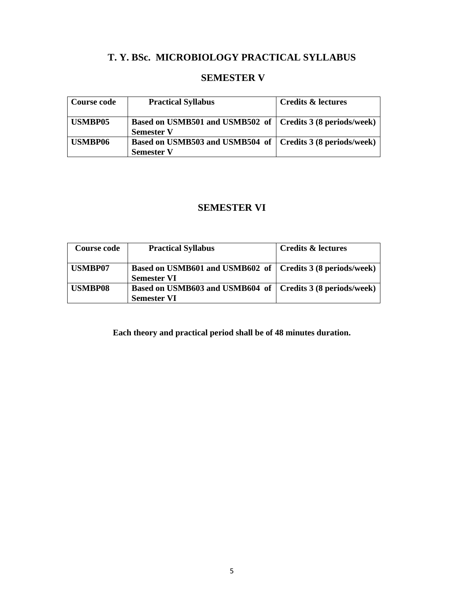# **T. Y. BSc. MICROBIOLOGY PRACTICAL SYLLABUS**

# **SEMESTER V**

| <b>Course code</b> | <b>Practical Syllabus</b>                                                         | <b>Credits &amp; lectures</b> |
|--------------------|-----------------------------------------------------------------------------------|-------------------------------|
| <b>USMBP05</b>     | Based on USMB501 and USMB502 of   Credits 3 (8 periods/week)<br><b>Semester V</b> |                               |
| USMBP06            | Based on USMB503 and USMB504 of   Credits 3 (8 periods/week)<br><b>Semester V</b> |                               |

# **SEMESTER VI**

| Course code    | <b>Practical Syllabus</b>                                                          | <b>Credits &amp; lectures</b> |
|----------------|------------------------------------------------------------------------------------|-------------------------------|
| <b>USMBP07</b> | Based on USMB601 and USMB602 of   Credits 3 (8 periods/week)<br><b>Semester VI</b> |                               |
| <b>USMBP08</b> | Based on USMB603 and USMB604 of   Credits 3 (8 periods/week)<br><b>Semester VI</b> |                               |

**Each theory and practical period shall be of 48 minutes duration.**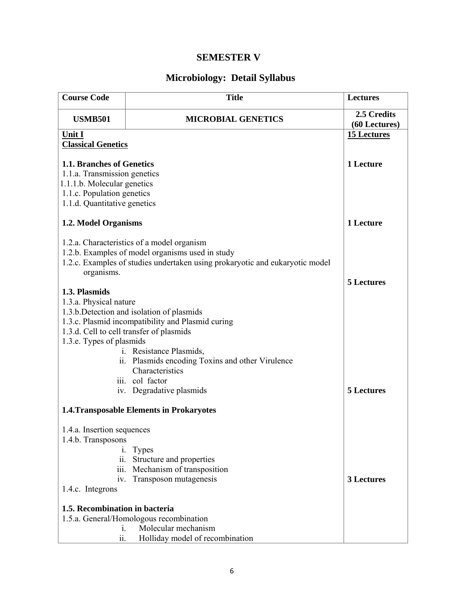# **SEMESTER V**

# **Microbiology: Detail Syllabus**

| <b>Course Code</b>                               | <b>Title</b>                                                                                  | <b>Lectures</b>              |
|--------------------------------------------------|-----------------------------------------------------------------------------------------------|------------------------------|
| <b>USMB501</b>                                   | <b>MICROBIAL GENETICS</b>                                                                     | 2.5 Credits<br>(60 Lectures) |
| Unit I                                           |                                                                                               | <b>15 Lectures</b>           |
| <b>Classical Genetics</b>                        |                                                                                               |                              |
| 1.1. Branches of Genetics                        |                                                                                               | 1 Lecture                    |
| 1.1.a. Transmission genetics                     |                                                                                               |                              |
| 1.1.1.b. Molecular genetics                      |                                                                                               |                              |
| 1.1.c. Population genetics                       |                                                                                               |                              |
| 1.1.d. Quantitative genetics                     |                                                                                               |                              |
|                                                  |                                                                                               |                              |
| 1.2. Model Organisms                             |                                                                                               | 1 Lecture                    |
|                                                  | 1.2.a. Characteristics of a model organism                                                    |                              |
|                                                  | 1.2.b. Examples of model organisms used in study                                              |                              |
|                                                  | 1.2.c. Examples of studies undertaken using prokaryotic and eukaryotic model                  |                              |
| organisms.                                       |                                                                                               |                              |
|                                                  |                                                                                               | 5 Lectures                   |
| 1.3. Plasmids                                    |                                                                                               |                              |
| 1.3.a. Physical nature                           |                                                                                               |                              |
|                                                  | 1.3.b. Detection and isolation of plasmids                                                    |                              |
|                                                  | 1.3.c. Plasmid incompatibility and Plasmid curing<br>1.3.d. Cell to cell transfer of plasmids |                              |
| 1.3.e. Types of plasmids                         |                                                                                               |                              |
|                                                  | i. Resistance Plasmids,                                                                       |                              |
|                                                  | ii. Plasmids encoding Toxins and other Virulence                                              |                              |
|                                                  | Characteristics                                                                               |                              |
|                                                  | iii. col factor                                                                               |                              |
|                                                  | iv. Degradative plasmids                                                                      | 5 Lectures                   |
| <b>1.4. Transposable Elements in Prokaryotes</b> |                                                                                               |                              |
| 1.4.a. Insertion sequences                       |                                                                                               |                              |
| 1.4.b. Transposons                               |                                                                                               |                              |
| $\mathbf{1}$ .                                   | <b>Types</b>                                                                                  |                              |
|                                                  | ii. Structure and properties                                                                  |                              |
| $\overline{111}$ .                               | Mechanism of transposition                                                                    |                              |
| iv.                                              | Transposon mutagenesis                                                                        | <b>3 Lectures</b>            |
| 1.4.c. Integrons                                 |                                                                                               |                              |
| 1.5. Recombination in bacteria                   |                                                                                               |                              |
|                                                  | 1.5.a. General/Homologous recombination                                                       |                              |
| 1.                                               | Molecular mechanism                                                                           |                              |
| ii.                                              | Holliday model of recombination                                                               |                              |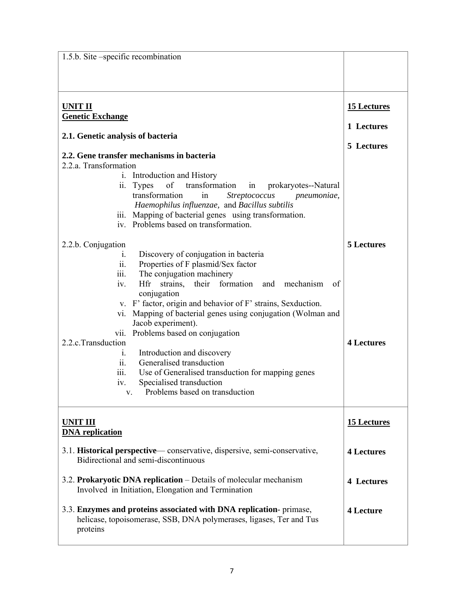| 1.5.b. Site –specific recombination                                                                                                                                                                                                                                                                                                                                                                                                                                                                                                                                                                                                                                                                                                         |                                         |
|---------------------------------------------------------------------------------------------------------------------------------------------------------------------------------------------------------------------------------------------------------------------------------------------------------------------------------------------------------------------------------------------------------------------------------------------------------------------------------------------------------------------------------------------------------------------------------------------------------------------------------------------------------------------------------------------------------------------------------------------|-----------------------------------------|
|                                                                                                                                                                                                                                                                                                                                                                                                                                                                                                                                                                                                                                                                                                                                             |                                         |
| <b>UNIT II</b><br><b>Genetic Exchange</b><br>2.1. Genetic analysis of bacteria<br>2.2. Gene transfer mechanisms in bacteria<br>2.2.a. Transformation<br>i. Introduction and History<br>of<br>transformation<br><b>Types</b><br>prokaryotes--Natural<br>in<br>11.<br>transformation<br>in<br><b>Streptococcus</b><br>pneumoniae,<br>Haemophilus influenzae, and Bacillus subtilis<br>iii. Mapping of bacterial genes using transformation.                                                                                                                                                                                                                                                                                                   | 15 Lectures<br>1 Lectures<br>5 Lectures |
| iv. Problems based on transformation.<br>2.2.b. Conjugation<br>Discovery of conjugation in bacteria<br>1.<br>ii.<br>Properties of F plasmid/Sex factor<br>The conjugation machinery<br>$\overline{111}$ .<br>iv.<br>Hfr<br>strains, their formation and mechanism<br>of<br>conjugation<br>v. F' factor, origin and behavior of F' strains, Sexduction.<br>Mapping of bacterial genes using conjugation (Wolman and<br>V1.<br>Jacob experiment).<br>Problems based on conjugation<br>V11.<br>2.2.c.Transduction<br>Introduction and discovery<br>1.<br>Generalised transduction<br>$\overline{11}$ .<br>Use of Generalised transduction for mapping genes<br>111.<br>Specialised transduction<br>iv.<br>Problems based on transduction<br>V. | <b>5 Lectures</b><br><b>4 Lectures</b>  |
| <b>UNIT III</b><br><b>DNA</b> replication                                                                                                                                                                                                                                                                                                                                                                                                                                                                                                                                                                                                                                                                                                   | <b>15 Lectures</b>                      |
| 3.1. Historical perspective—conservative, dispersive, semi-conservative,<br>Bidirectional and semi-discontinuous                                                                                                                                                                                                                                                                                                                                                                                                                                                                                                                                                                                                                            | <b>4 Lectures</b>                       |
| 3.2. Prokaryotic DNA replication – Details of molecular mechanism<br>Involved in Initiation, Elongation and Termination                                                                                                                                                                                                                                                                                                                                                                                                                                                                                                                                                                                                                     | <b>4 Lectures</b>                       |
| 3.3. Enzymes and proteins associated with DNA replication-primase,<br>helicase, topoisomerase, SSB, DNA polymerases, ligases, Ter and Tus<br>proteins                                                                                                                                                                                                                                                                                                                                                                                                                                                                                                                                                                                       | <b>4 Lecture</b>                        |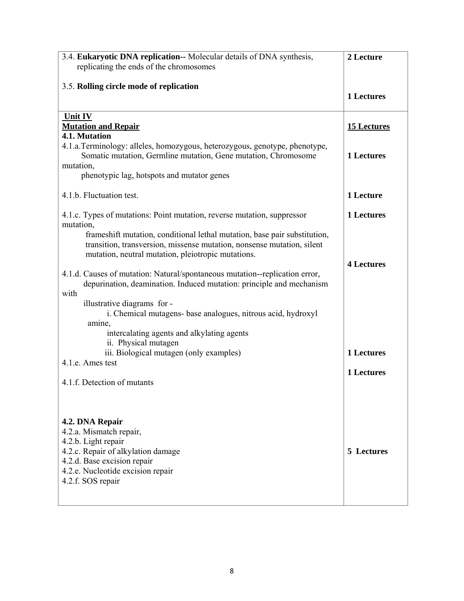| 3.4. Eukaryotic DNA replication-- Molecular details of DNA synthesis,                                                                         | 2 Lecture          |
|-----------------------------------------------------------------------------------------------------------------------------------------------|--------------------|
| replicating the ends of the chromosomes                                                                                                       |                    |
|                                                                                                                                               |                    |
| 3.5. Rolling circle mode of replication                                                                                                       | <b>1 Lectures</b>  |
|                                                                                                                                               |                    |
| Unit IV                                                                                                                                       |                    |
| <b>Mutation and Repair</b>                                                                                                                    | <b>15 Lectures</b> |
| 4.1. Mutation                                                                                                                                 |                    |
| 4.1.a. Terminology: alleles, homozygous, heterozygous, genotype, phenotype,<br>Somatic mutation, Germline mutation, Gene mutation, Chromosome | 1 Lectures         |
| mutation,                                                                                                                                     |                    |
| phenotypic lag, hotspots and mutator genes                                                                                                    |                    |
|                                                                                                                                               |                    |
| 4.1.b. Fluctuation test.                                                                                                                      | 1 Lecture          |
| 4.1.c. Types of mutations: Point mutation, reverse mutation, suppressor                                                                       | 1 Lectures         |
| mutation,                                                                                                                                     |                    |
| frameshift mutation, conditional lethal mutation, base pair substitution,                                                                     |                    |
| transition, transversion, missense mutation, nonsense mutation, silent                                                                        |                    |
| mutation, neutral mutation, pleiotropic mutations.                                                                                            | <b>4 Lectures</b>  |
| 4.1.d. Causes of mutation: Natural/spontaneous mutation-replication error,                                                                    |                    |
| depurination, deamination. Induced mutation: principle and mechanism                                                                          |                    |
| with                                                                                                                                          |                    |
| illustrative diagrams for -                                                                                                                   |                    |
| i. Chemical mutagens- base analogues, nitrous acid, hydroxyl<br>amine,                                                                        |                    |
| intercalating agents and alkylating agents                                                                                                    |                    |
| ii. Physical mutagen                                                                                                                          |                    |
| iii. Biological mutagen (only examples)                                                                                                       | <b>1 Lectures</b>  |
| 4.1.e. Ames test                                                                                                                              |                    |
| 4.1.f. Detection of mutants                                                                                                                   | 1 Lectures         |
|                                                                                                                                               |                    |
|                                                                                                                                               |                    |
|                                                                                                                                               |                    |
| 4.2. DNA Repair<br>4.2.a. Mismatch repair,                                                                                                    |                    |
| 4.2.b. Light repair                                                                                                                           |                    |
| 4.2.c. Repair of alkylation damage                                                                                                            | 5 Lectures         |
| 4.2.d. Base excision repair                                                                                                                   |                    |
| 4.2.e. Nucleotide excision repair                                                                                                             |                    |
| 4.2.f. SOS repair                                                                                                                             |                    |
|                                                                                                                                               |                    |
|                                                                                                                                               |                    |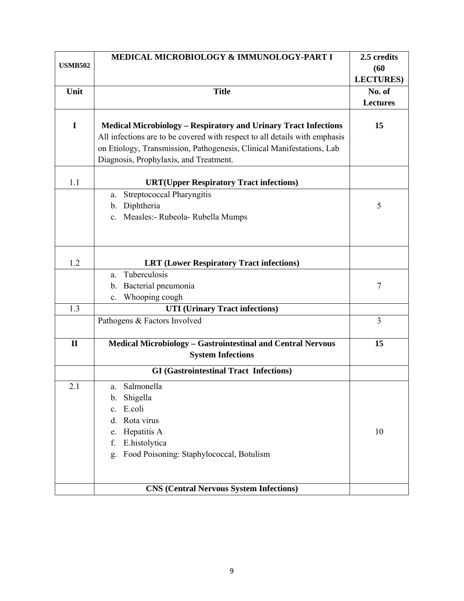|                | MEDICAL MICROBIOLOGY & IMMUNOLOGY-PART I                                   | 2.5 credits       |
|----------------|----------------------------------------------------------------------------|-------------------|
| <b>USMB502</b> |                                                                            | (60)              |
|                |                                                                            | <b>LECTURES</b> ) |
| Unit           | <b>Title</b>                                                               | No. of            |
|                |                                                                            | <b>Lectures</b>   |
|                |                                                                            |                   |
| $\mathbf I$    | <b>Medical Microbiology - Respiratory and Urinary Tract Infections</b>     | 15                |
|                | All infections are to be covered with respect to all details with emphasis |                   |
|                | on Etiology, Transmission, Pathogenesis, Clinical Manifestations, Lab      |                   |
|                | Diagnosis, Prophylaxis, and Treatment.                                     |                   |
|                |                                                                            |                   |
| 1.1            | <b>URT(Upper Respiratory Tract infections)</b>                             |                   |
|                | <b>Streptococcal Pharyngitis</b><br>a.                                     |                   |
|                | Diphtheria<br>b.                                                           | 5                 |
|                | c. Measles:- Rubeola- Rubella Mumps                                        |                   |
|                |                                                                            |                   |
|                |                                                                            |                   |
| 1.2            | <b>LRT</b> (Lower Respiratory Tract infections)                            |                   |
|                | Tuberculosis<br>a.                                                         |                   |
|                | Bacterial pneumonia<br>b.                                                  | $\boldsymbol{7}$  |
|                | Whooping cough<br>$\mathbf{c}$ .                                           |                   |
| 1.3            | <b>UTI</b> (Urinary Tract infections)                                      |                   |
|                | Pathogens & Factors Involved                                               | 3                 |
|                |                                                                            |                   |
| $\mathbf{I}$   | <b>Medical Microbiology - Gastrointestinal and Central Nervous</b>         | 15                |
|                | <b>System Infections</b>                                                   |                   |
|                | <b>GI</b> (Gastrointestinal Tract Infections)                              |                   |
| 2.1            | Salmonella<br>a.                                                           |                   |
|                | Shigella<br>b.                                                             |                   |
|                | E.coli<br>$\mathbf{c}$ .                                                   |                   |
|                | Rota virus<br>d.                                                           |                   |
|                | Hepatitis A<br>e.                                                          | 10                |
|                | E.histolytica<br>f.                                                        |                   |
|                | Food Poisoning: Staphylococcal, Botulism<br>g.                             |                   |
|                |                                                                            |                   |
|                |                                                                            |                   |
|                | <b>CNS (Central Nervous System Infections)</b>                             |                   |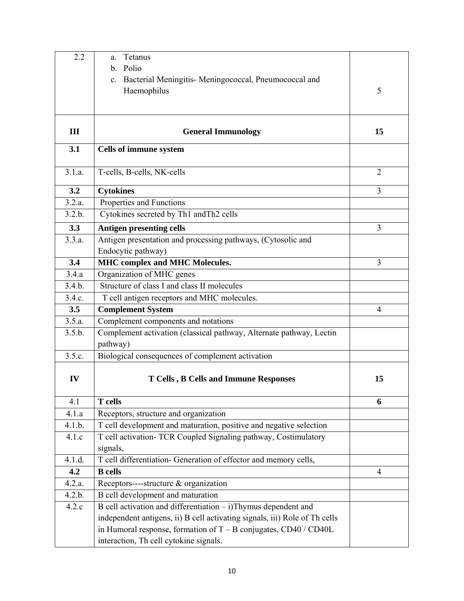| 2.2    | Tetanus<br>a.                                                                   |                |
|--------|---------------------------------------------------------------------------------|----------------|
|        | Polio<br>$\mathbf{b}$ .                                                         |                |
|        | Bacterial Meningitis- Meningococcal, Pneumococcal and<br>$c_{\cdot}$            |                |
|        | Haemophilus                                                                     | 5              |
|        |                                                                                 |                |
|        |                                                                                 |                |
| III    | <b>General Immunology</b>                                                       | 15             |
| 3.1    | Cells of immune system                                                          |                |
| 3.1.a. | T-cells, B-cells, NK-cells                                                      | $\overline{2}$ |
| 3.2    | <b>Cytokines</b>                                                                | 3              |
| 3.2.a. | Properties and Functions                                                        |                |
| 3.2.b. | Cytokines secreted by Th1 and Th2 cells                                         |                |
| 3.3    | <b>Antigen presenting cells</b>                                                 | 3              |
| 3.3.a. | Antigen presentation and processing pathways, (Cytosolic and                    |                |
|        | Endocytic pathway)                                                              |                |
| 3.4    | <b>MHC</b> complex and MHC Molecules.                                           | 3              |
| 3.4.a  | Organization of MHC genes                                                       |                |
| 3.4.b. | Structure of class I and class II molecules                                     |                |
| 3.4.c. | T cell antigen receptors and MHC molecules.                                     |                |
| 3.5    | <b>Complement System</b>                                                        | 4              |
| 3.5.a. | Complement components and notations                                             |                |
| 3.5.b. | Complement activation (classical pathway, Alternate pathway, Lectin<br>pathway) |                |
| 3.5.c. | Biological consequences of complement activation                                |                |
| IV     | <b>T Cells, B Cells and Immune Responses</b>                                    | 15             |
| 4.1    | <b>T</b> cells                                                                  | 6              |
| 4.1.a  | Receptors, structure and organization                                           |                |
| 4.1.b. | T cell development and maturation, positive and negative selection              |                |
| 4.1.c  | T cell activation- TCR Coupled Signaling pathway, Costimulatory                 |                |
|        | signals,                                                                        |                |
| 4.1.d. | T cell differentiation- Generation of effector and memory cells,                |                |
| 4.2    | <b>B</b> cells                                                                  | $\overline{4}$ |
| 4.2.a. | Receptors----structure & organization                                           |                |
| 4.2.b. | B cell development and maturation                                               |                |
| 4.2.c  | $B$ cell activation and differentiation $-$ i) Thymus dependent and             |                |
|        | independent antigens, ii) B cell activating signals, iii) Role of Th cells      |                |
|        | in Humoral response, formation of $T - B$ conjugates, CD40 / CD40L              |                |
|        | interaction, Th cell cytokine signals.                                          |                |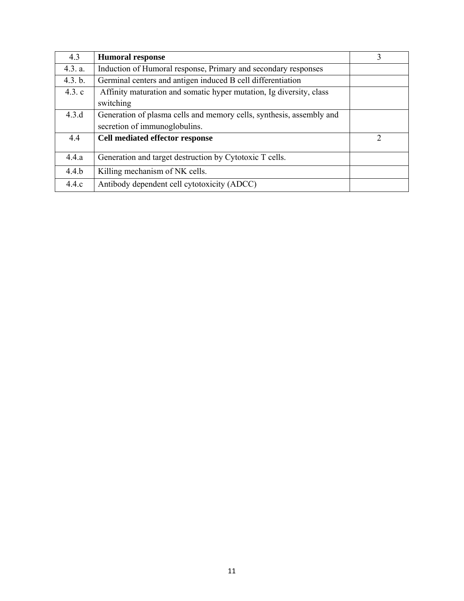| 4.3     | <b>Humoral response</b>                                              | 3 |
|---------|----------------------------------------------------------------------|---|
| 4.3. a. | Induction of Humoral response, Primary and secondary responses       |   |
| 4.3. b. | Germinal centers and antigen induced B cell differentiation          |   |
| 4.3.c   | Affinity maturation and somatic hyper mutation, Ig diversity, class  |   |
|         | switching                                                            |   |
| 4.3.d   | Generation of plasma cells and memory cells, synthesis, assembly and |   |
|         | secretion of immunoglobulins.                                        |   |
| 4.4     | Cell mediated effector response                                      | 2 |
| 4.4.a   | Generation and target destruction by Cytotoxic T cells.              |   |
| 4.4.b   | Killing mechanism of NK cells.                                       |   |
| 4.4.c   | Antibody dependent cell cytotoxicity (ADCC)                          |   |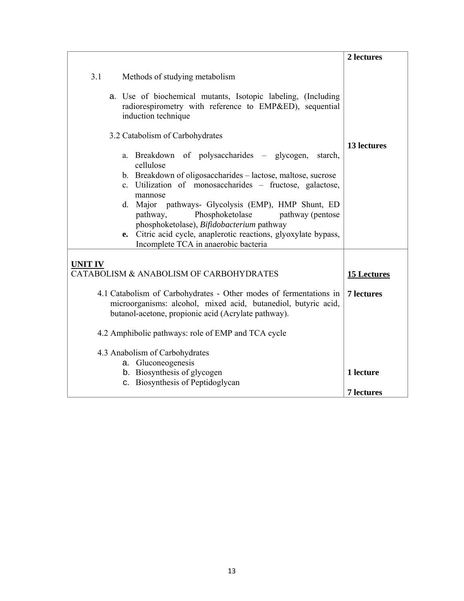|                                                                                                                                                                                                                                                                                                                                                                                                                                                                             | 2 lectures        |
|-----------------------------------------------------------------------------------------------------------------------------------------------------------------------------------------------------------------------------------------------------------------------------------------------------------------------------------------------------------------------------------------------------------------------------------------------------------------------------|-------------------|
| 3.1<br>Methods of studying metabolism                                                                                                                                                                                                                                                                                                                                                                                                                                       |                   |
| a. Use of biochemical mutants, Isotopic labeling, (Including<br>radiorespirometry with reference to EMP&ED), sequential<br>induction technique                                                                                                                                                                                                                                                                                                                              |                   |
| 3.2 Catabolism of Carbohydrates                                                                                                                                                                                                                                                                                                                                                                                                                                             |                   |
| a. Breakdown of polysaccharides – glycogen,<br>starch,<br>cellulose<br>b. Breakdown of oligosaccharides - lactose, maltose, sucrose<br>c. Utilization of monosaccharides - fructose, galactose,<br>mannose<br>d. Major pathways- Glycolysis (EMP), HMP Shunt, ED<br>Phosphoketolase<br>pathway (pentose<br>pathway,<br>phosphoketolase), Bifidobacterium pathway<br>e. Citric acid cycle, anaplerotic reactions, glyoxylate bypass,<br>Incomplete TCA in anaerobic bacteria | 13 lectures       |
| <b>UNIT IV</b>                                                                                                                                                                                                                                                                                                                                                                                                                                                              |                   |
| CATABOLISM & ANABOLISM OF CARBOHYDRATES                                                                                                                                                                                                                                                                                                                                                                                                                                     | 15 Lectures       |
| 4.1 Catabolism of Carbohydrates - Other modes of fermentations in<br>microorganisms: alcohol, mixed acid, butanediol, butyric acid,<br>butanol-acetone, propionic acid (Acrylate pathway).                                                                                                                                                                                                                                                                                  | <b>7</b> lectures |
| 4.2 Amphibolic pathways: role of EMP and TCA cycle                                                                                                                                                                                                                                                                                                                                                                                                                          |                   |
| 4.3 Anabolism of Carbohydrates<br>a. Gluconeogenesis                                                                                                                                                                                                                                                                                                                                                                                                                        |                   |
| b. Biosynthesis of glycogen                                                                                                                                                                                                                                                                                                                                                                                                                                                 | 1 lecture         |
| c. Biosynthesis of Peptidoglycan                                                                                                                                                                                                                                                                                                                                                                                                                                            | <b>7</b> lectures |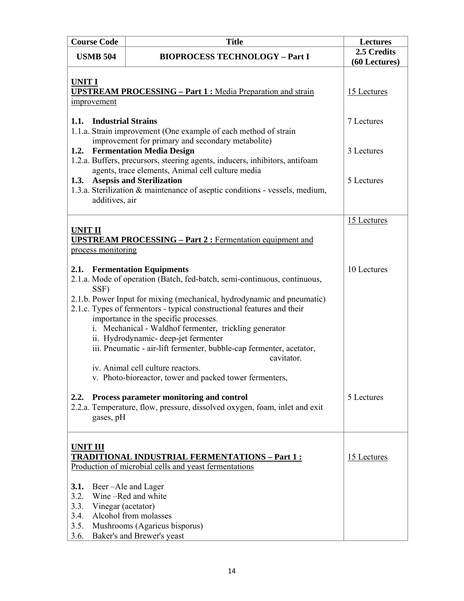| <b>Course Code</b>                                                                    | <b>Title</b>                                                                                                                                                                                                                                                                                                                                                                                                                                                                                                                                                                                  | <b>Lectures</b>                                       |
|---------------------------------------------------------------------------------------|-----------------------------------------------------------------------------------------------------------------------------------------------------------------------------------------------------------------------------------------------------------------------------------------------------------------------------------------------------------------------------------------------------------------------------------------------------------------------------------------------------------------------------------------------------------------------------------------------|-------------------------------------------------------|
| <b>USMB 504</b>                                                                       | <b>BIOPROCESS TECHNOLOGY - Part I</b>                                                                                                                                                                                                                                                                                                                                                                                                                                                                                                                                                         | 2.5 Credits<br>(60 Lectures)                          |
| <b>UNIT I</b><br>improvement<br>1.1. Industrial Strains<br>additives, air             | <b>UPSTREAM PROCESSING - Part 1: Media Preparation and strain</b><br>1.1.a. Strain improvement (One example of each method of strain<br>improvement for primary and secondary metabolite)<br>1.2. Fermentation Media Design<br>1.2.a. Buffers, precursors, steering agents, inducers, inhibitors, antifoam<br>agents, trace elements, Animal cell culture media<br>1.3. Asepsis and Sterilization<br>1.3.a. Sterilization & maintenance of aseptic conditions - vessels, medium,                                                                                                              | 15 Lectures<br>7 Lectures<br>3 Lectures<br>5 Lectures |
| <b>UNIT II</b><br>process monitoring                                                  | <b>UPSTREAM PROCESSING – Part 2: Fermentation equipment and</b>                                                                                                                                                                                                                                                                                                                                                                                                                                                                                                                               | 15 Lectures                                           |
| SSF)                                                                                  | 2.1. Fermentation Equipments<br>2.1.a. Mode of operation (Batch, fed-batch, semi-continuous, continuous,<br>2.1.b. Power Input for mixing (mechanical, hydrodynamic and pneumatic)<br>2.1.c. Types of fermentors - typical constructional features and their<br>importance in the specific processes.<br>i. Mechanical - Waldhof fermenter, trickling generator<br>ii. Hydrodynamic- deep-jet fermenter<br>iii. Pneumatic - air-lift fermenter, bubble-cap fermenter, acetator,<br>cavitator.<br>iv. Animal cell culture reactors.<br>v. Photo-bioreactor, tower and packed tower fermenters, | 10 Lectures                                           |
| 2.2.<br>gases, pH                                                                     | Process parameter monitoring and control<br>2.2.a. Temperature, flow, pressure, dissolved oxygen, foam, inlet and exit                                                                                                                                                                                                                                                                                                                                                                                                                                                                        | 5 Lectures                                            |
| <b>UNIT III</b><br>3.1.<br>3.2.<br>3.3.<br>Vinegar (acetator)<br>3.4.<br>3.5.<br>3.6. | <u>TRADITIONAL INDUSTRIAL FERMENTATIONS – Part 1:</u><br>Production of microbial cells and yeast fermentations<br>Beer-Ale and Lager<br>Wine-Red and white<br>Alcohol from molasses<br>Mushrooms (Agaricus bisporus)<br>Baker's and Brewer's yeast                                                                                                                                                                                                                                                                                                                                            | 15 Lectures                                           |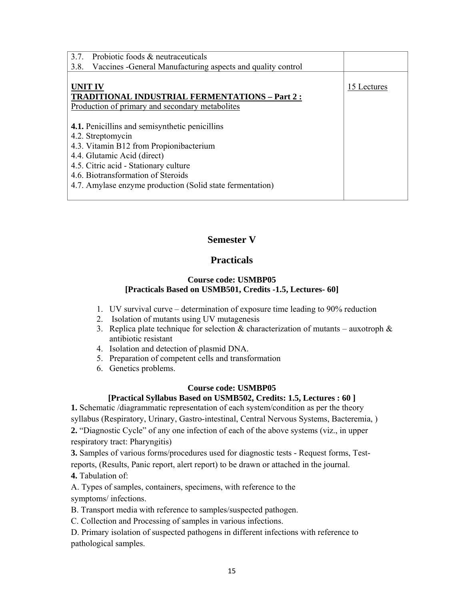| 3.7.<br>Probiotic foods & neutraceuticals<br>Vaccines - General Manufacturing aspects and quality control<br>3.8. |             |
|-------------------------------------------------------------------------------------------------------------------|-------------|
| <b>UNIT IV</b>                                                                                                    | 15 Lectures |
| <b>TRADITIONAL INDUSTRIAL FERMENTATIONS - Part 2:</b><br>Production of primary and secondary metabolites          |             |
| <b>4.1.</b> Penicillins and semisynthetic penicillins                                                             |             |
| 4.2. Streptomycin<br>4.3. Vitamin B12 from Propionibacterium                                                      |             |
| 4.4. Glutamic Acid (direct)<br>4.5. Citric acid - Stationary culture                                              |             |
| 4.6. Biotransformation of Steroids<br>4.7. Amylase enzyme production (Solid state fermentation)                   |             |
|                                                                                                                   |             |

# **Semester V**

# **Practicals**

## **Course code: USMBP05 [Practicals Based on USMB501, Credits -1.5, Lectures- 60]**

- 1. UV survival curve determination of exposure time leading to 90% reduction
- 2. Isolation of mutants using UV mutagenesis
- 3. Replica plate technique for selection  $\&$  characterization of mutants auxotroph  $\&$ antibiotic resistant
- 4. Isolation and detection of plasmid DNA.
- 5. Preparation of competent cells and transformation
- 6. Genetics problems.

## **Course code: USMBP05**

## **[Practical Syllabus Based on USMB502, Credits: 1.5, Lectures : 60 ]**

**1.** Schematic /diagrammatic representation of each system/condition as per the theory syllabus (Respiratory, Urinary, Gastro-intestinal, Central Nervous Systems, Bacteremia, ) **2.** "Diagnostic Cycle" of any one infection of each of the above systems (viz., in upper respiratory tract: Pharyngitis)

**3.** Samples of various forms/procedures used for diagnostic tests - Request forms, Testreports, (Results, Panic report, alert report) to be drawn or attached in the journal.

**4.** Tabulation of:

A. Types of samples, containers, specimens, with reference to the symptoms/ infections.

B. Transport media with reference to samples/suspected pathogen.

C. Collection and Processing of samples in various infections.

D. Primary isolation of suspected pathogens in different infections with reference to pathological samples.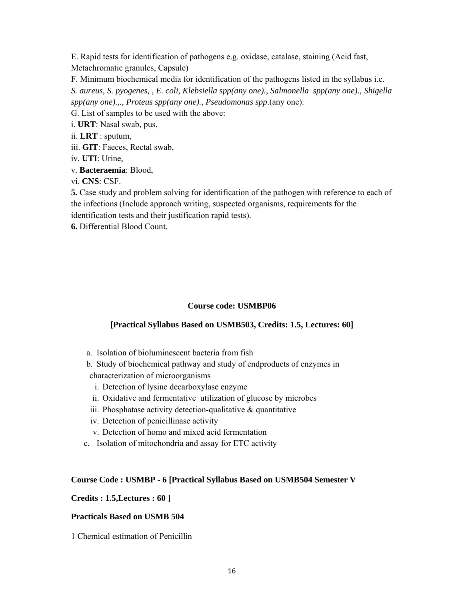E. Rapid tests for identification of pathogens e.g. oxidase, catalase, staining (Acid fast, Metachromatic granules, Capsule)

F. Minimum biochemical media for identification of the pathogens listed in the syllabus i.e. *S. aureus, S. pyogenes, , E. coli, Klebsiella spp(any one)., Salmonella spp(any one)., Shigella spp(any one).,., Proteus spp(any one)., Pseudomonas spp*.(any one).

G. List of samples to be used with the above:

i. **URT**: Nasal swab, pus,

ii. **LRT** : sputum,

iii. **GIT**: Faeces, Rectal swab,

iv. **UTI**: Urine,

v. **Bacteraemia**: Blood,

vi. **CNS**: CSF.

**5.** Case study and problem solving for identification of the pathogen with reference to each of the infections (Include approach writing, suspected organisms, requirements for the identification tests and their justification rapid tests).

**6.** Differential Blood Count.

## **Course code: USMBP06**

## **[Practical Syllabus Based on USMB503, Credits: 1.5, Lectures: 60]**

a. Isolation of bioluminescent bacteria from fish

b. Study of biochemical pathway and study of endproducts of enzymes in characterization of microorganisms

- i. Detection of lysine decarboxylase enzyme
- ii. Oxidative and fermentative utilization of glucose by microbes
- iii. Phosphatase activity detection-qualitative  $\&$  quantitative
- iv. Detection of penicillinase activity
- v. Detection of homo and mixed acid fermentation
- c. Isolation of mitochondria and assay for ETC activity

### **Course Code : USMBP - 6 [Practical Syllabus Based on USMB504 Semester V**

### **Credits : 1.5,Lectures : 60 ]**

### **Practicals Based on USMB 504**

1 Chemical estimation of Penicillin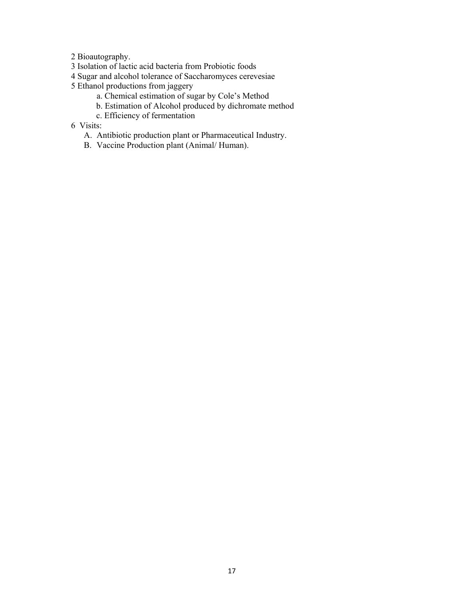2 Bioautography.

- 3 Isolation of lactic acid bacteria from Probiotic foods
- 4 Sugar and alcohol tolerance of Saccharomyces cerevesiae
- 5 Ethanol productions from jaggery
	- a. Chemical estimation of sugar by Cole's Method
	- b. Estimation of Alcohol produced by dichromate method
	- c. Efficiency of fermentation
- 6 Visits:
	- A. Antibiotic production plant or Pharmaceutical Industry.
	- B. Vaccine Production plant (Animal/ Human).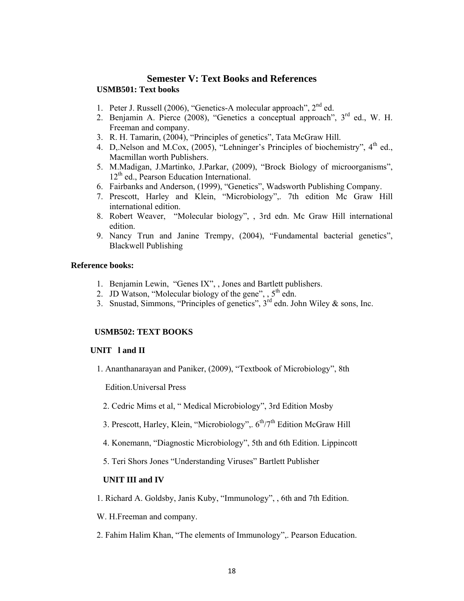## **Semester V: Text Books and References USMB501: Text books**

- 1. Peter J. Russell (2006), "Genetics-A molecular approach",  $2<sup>nd</sup>$  ed.
- 2. Benjamin A. Pierce (2008), "Genetics a conceptual approach", 3<sup>rd</sup> ed., W. H. Freeman and company.
- 3. R. H. Tamarin, (2004), "Principles of genetics", Tata McGraw Hill.
- 4. D,.Nelson and M.Cox, (2005), "Lehninger's Principles of biochemistry", 4<sup>th</sup> ed., Macmillan worth Publishers.
- 5. M.Madigan, J.Martinko, J.Parkar, (2009), "Brock Biology of microorganisms",  $12<sup>th</sup>$  ed., Pearson Education International.
- 6. Fairbanks and Anderson, (1999), "Genetics", Wadsworth Publishing Company.
- 7. Prescott, Harley and Klein, "Microbiology",. 7th edition Mc Graw Hill international edition.
- 8. Robert Weaver, "Molecular biology", , 3rd edn. Mc Graw Hill international edition.
- 9. Nancy Trun and Janine Trempy, (2004), "Fundamental bacterial genetics", Blackwell Publishing

### **Reference books:**

- 1. Benjamin Lewin, "Genes IX", , Jones and Bartlett publishers.
- 2. JD Watson, "Molecular biology of the gene",  $, 5<sup>th</sup>$  edn.
- 3. Snustad, Simmons, "Principles of genetics",  $3<sup>rd</sup>$  edn. John Wiley & sons, Inc.

### **USMB502: TEXT BOOKS**

#### **UNIT l and II**

1. Ananthanarayan and Paniker, (2009), "Textbook of Microbiology", 8th

Edition.Universal Press

- 2. Cedric Mims et al, " Medical Microbiology", 3rd Edition Mosby
- 3. Prescott, Harley, Klein, "Microbiology",  $6<sup>th</sup>/7<sup>th</sup>$  Edition McGraw Hill
- 4. Konemann, "Diagnostic Microbiology", 5th and 6th Edition. Lippincott
- 5. Teri Shors Jones "Understanding Viruses" Bartlett Publisher

#### **UNIT III and IV**

1. Richard A. Goldsby, Janis Kuby, "Immunology", , 6th and 7th Edition.

W. H.Freeman and company.

2. Fahim Halim Khan, "The elements of Immunology",. Pearson Education.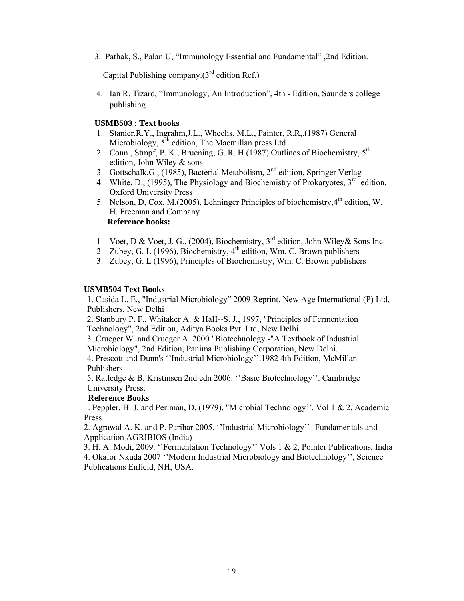3.. Pathak, S., Palan U, "Immunology Essential and Fundamental" ,2nd Edition.

Capital Publishing company. $(3<sup>rd</sup>$  edition Ref.)

4. Ian R. Tizard, "Immunology, An Introduction", 4th - Edition, Saunders college publishing

## **USMB503 : Text books**

- 1. Stanier.R.Y., Ingrahm,J.L., Wheelis, M.L., Painter, R.R,.(1987) General Microbiology,  $5<sup>th</sup>$  edition, The Macmillan press Ltd
- 2. Conn, Stmpf, P. K., Bruening, G. R. H.(1987) Outlines of Biochemistry,  $5<sup>th</sup>$ edition, John Wiley & sons
- 3. Gottschalk, G., (1985), Bacterial Metabolism, 2<sup>nd</sup> edition, Springer Verlag
- 4. White, D., (1995), The Physiology and Biochemistry of Prokaryotes,  $3<sup>rd</sup>$  edition. Oxford University Press
- 5. Nelson, D, Cox, M,(2005), Lehninger Principles of biochemistry,  $4^{th}$  edition, W. H. Freeman and Company  **Reference books:**
- 1. Voet, D & Voet, J. G., (2004), Biochemistry,  $3<sup>rd</sup>$  edition, John Wiley& Sons Inc
- 2. Zubey, G. L (1996), Biochemistry,  $4<sup>th</sup>$  edition, Wm. C. Brown publishers
- 3. Zubey, G. L (1996), Principles of Biochemistry, Wm. C. Brown publishers

#### **USMB504 Text Books**

1. Casida L. E., "Industrial Microbiology" 2009 Reprint, New Age International (P) Ltd, Publishers, New Delhi

2. Stanbury P. F., Whitaker A. & HaII--S. J., 1997, "Principles of Fermentation Technology", 2nd Edition, Aditya Books Pvt. Ltd, New Delhi.

3. Crueger W. and Crueger A. 2000 "Biotechnology -"A Textbook of Industrial Microbiology", 2nd Edition, Panima Publishing Corporation, New Delhi.

4. Prescott and Dunn's ''Industrial Microbiology''.1982 4th Edition, McMillan Publishers

5. Ratledge & B. Kristinsen 2nd edn 2006. ''Basic Biotechnology''. Cambridge University Press.

#### **Reference Books**

1. Peppler, H. J. and Perlman, D. (1979), "Microbial Technology''. Vol 1 & 2, Academic Press

2. Agrawal A. K. and P. Parihar 2005. ''Industrial Microbiology''- Fundamentals and Application AGRIBIOS (India)

3. H. A. Modi, 2009. ''Fermentation Technology'' Vols 1 & 2, Pointer Publications, India 4. Okafor Nkuda 2007 ''Modern Industrial Microbiology and Biotechnology'', Science Publications Enfield, NH, USA.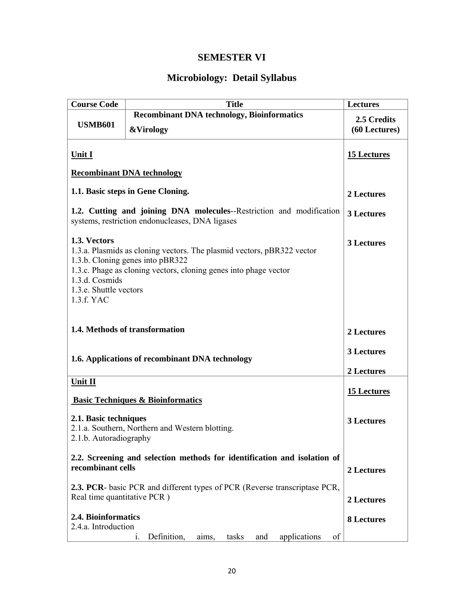# **SEMESTER VI**

# **Microbiology: Detail Syllabus**

| <b>Course Code</b>                                                                                                      | <b>Title</b>                                                                                               | <b>Lectures</b>    |
|-------------------------------------------------------------------------------------------------------------------------|------------------------------------------------------------------------------------------------------------|--------------------|
|                                                                                                                         | <b>Recombinant DNA technology, Bioinformatics</b>                                                          | 2.5 Credits        |
| <b>USMB601</b>                                                                                                          | <b>&amp;Virology</b>                                                                                       | (60 Lectures)      |
|                                                                                                                         |                                                                                                            |                    |
| <b>Unit I</b>                                                                                                           |                                                                                                            | <b>15 Lectures</b> |
|                                                                                                                         | <b>Recombinant DNA technology</b>                                                                          |                    |
|                                                                                                                         | 1.1. Basic steps in Gene Cloning.                                                                          | 2 Lectures         |
| 1.2. Cutting and joining DNA molecules--Restriction and modification<br>systems, restriction endonucleases, DNA ligases |                                                                                                            | 3 Lectures         |
| 1.3. Vectors                                                                                                            | 1.3.a. Plasmids as cloning vectors. The plasmid vectors, pBR322 vector<br>1.3.b. Cloning genes into pBR322 | 3 Lectures         |
| 1.3.d. Cosmids                                                                                                          | 1.3.c. Phage as cloning vectors, cloning genes into phage vector                                           |                    |
| 1.3.e. Shuttle vectors<br>1.3.f. YAC                                                                                    |                                                                                                            |                    |
| 1.4. Methods of transformation                                                                                          |                                                                                                            | 2 Lectures         |
| 1.6. Applications of recombinant DNA technology                                                                         |                                                                                                            | 3 Lectures         |
|                                                                                                                         |                                                                                                            | 2 Lectures         |
| Unit II                                                                                                                 |                                                                                                            |                    |
|                                                                                                                         | <b>Basic Techniques &amp; Bioinformatics</b>                                                               | <b>15 Lectures</b> |
| 2.1. Basic techniques<br>2.1.a. Southern, Northern and Western blotting.<br>2.1.b. Autoradiography                      |                                                                                                            | 3 Lectures         |
| 2.2. Screening and selection methods for identification and isolation of<br>recombinant cells                           |                                                                                                            | 2 Lectures         |
| 2.3. PCR- basic PCR and different types of PCR (Reverse transcriptase PCR,<br>Real time quantitative PCR)               |                                                                                                            | 2 Lectures         |
|                                                                                                                         | 2.4. Bioinformatics<br>2.4.a. Introduction                                                                 |                    |
|                                                                                                                         | Definition,<br>applications<br>of<br>tasks<br>aims,<br>and<br>$\mathbf{1}$ .                               |                    |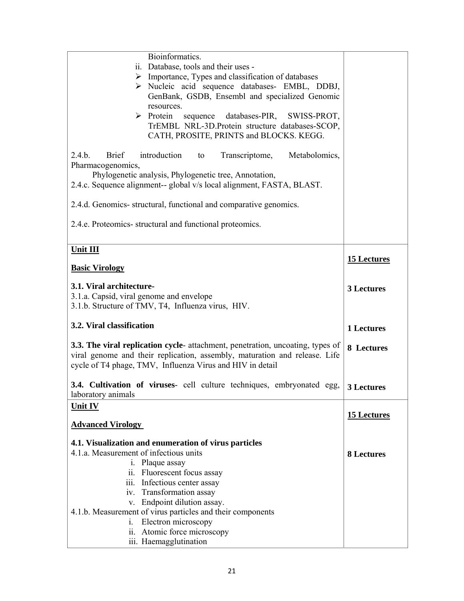| Bioinformatics.                                                                                                                                                                                                                                                                                            |                    |
|------------------------------------------------------------------------------------------------------------------------------------------------------------------------------------------------------------------------------------------------------------------------------------------------------------|--------------------|
| ii. Database, tools and their uses -                                                                                                                                                                                                                                                                       |                    |
| $\triangleright$ Importance, Types and classification of databases                                                                                                                                                                                                                                         |                    |
|                                                                                                                                                                                                                                                                                                            |                    |
| > Nucleic acid sequence databases- EMBL, DDBJ,                                                                                                                                                                                                                                                             |                    |
| GenBank, GSDB, Ensembl and specialized Genomic                                                                                                                                                                                                                                                             |                    |
| resources.                                                                                                                                                                                                                                                                                                 |                    |
| $\triangleright$ Protein<br>sequence<br>databases-PIR,<br>SWISS-PROT,                                                                                                                                                                                                                                      |                    |
| TrEMBL NRL-3D.Protein structure databases-SCOP,                                                                                                                                                                                                                                                            |                    |
| CATH, PROSITE, PRINTS and BLOCKS. KEGG.                                                                                                                                                                                                                                                                    |                    |
| 2.4.b.<br>introduction<br><b>Brief</b><br>Transcriptome,<br>Metabolomics,<br>to<br>Pharmacogenomics,<br>Phylogenetic analysis, Phylogenetic tree, Annotation,<br>2.4.c. Sequence alignment-- global v/s local alignment, FASTA, BLAST.<br>2.4.d. Genomics-structural, functional and comparative genomics. |                    |
| 2.4.e. Proteomics-structural and functional proteomics.                                                                                                                                                                                                                                                    |                    |
| Unit III                                                                                                                                                                                                                                                                                                   |                    |
|                                                                                                                                                                                                                                                                                                            | <b>15 Lectures</b> |
| <b>Basic Virology</b>                                                                                                                                                                                                                                                                                      |                    |
|                                                                                                                                                                                                                                                                                                            |                    |
| 3.1. Viral architecture-                                                                                                                                                                                                                                                                                   | 3 Lectures         |
| 3.1.a. Capsid, viral genome and envelope                                                                                                                                                                                                                                                                   |                    |
| 3.1.b. Structure of TMV, T4, Influenza virus, HIV.                                                                                                                                                                                                                                                         |                    |
|                                                                                                                                                                                                                                                                                                            |                    |
|                                                                                                                                                                                                                                                                                                            |                    |
| 3.2. Viral classification                                                                                                                                                                                                                                                                                  | 1 Lectures         |
|                                                                                                                                                                                                                                                                                                            |                    |
| 3.3. The viral replication cycle-attachment, penetration, uncoating, types of                                                                                                                                                                                                                              | 8 Lectures         |
| viral genome and their replication, assembly, maturation and release. Life                                                                                                                                                                                                                                 |                    |
| cycle of T4 phage, TMV, Influenza Virus and HIV in detail                                                                                                                                                                                                                                                  |                    |
|                                                                                                                                                                                                                                                                                                            |                    |
| 3.4. Cultivation of viruses- cell culture techniques, embryonated egg,                                                                                                                                                                                                                                     |                    |
| laboratory animals                                                                                                                                                                                                                                                                                         | 3 Lectures         |
|                                                                                                                                                                                                                                                                                                            |                    |
| <b>Unit IV</b>                                                                                                                                                                                                                                                                                             | <b>15 Lectures</b> |
| <b>Advanced Virology</b>                                                                                                                                                                                                                                                                                   |                    |
|                                                                                                                                                                                                                                                                                                            |                    |
| 4.1. Visualization and enumeration of virus particles                                                                                                                                                                                                                                                      |                    |
| 4.1.a. Measurement of infectious units                                                                                                                                                                                                                                                                     | <b>8 Lectures</b>  |
| i. Plaque assay                                                                                                                                                                                                                                                                                            |                    |
| ii. Fluorescent focus assay                                                                                                                                                                                                                                                                                |                    |
| iii. Infectious center assay                                                                                                                                                                                                                                                                               |                    |
| iv. Transformation assay                                                                                                                                                                                                                                                                                   |                    |
| v. Endpoint dilution assay.                                                                                                                                                                                                                                                                                |                    |
| 4.1.b. Measurement of virus particles and their components                                                                                                                                                                                                                                                 |                    |
| Electron microscopy<br>$i_{\cdot}$                                                                                                                                                                                                                                                                         |                    |
| ii. Atomic force microscopy<br>iii. Haemagglutination                                                                                                                                                                                                                                                      |                    |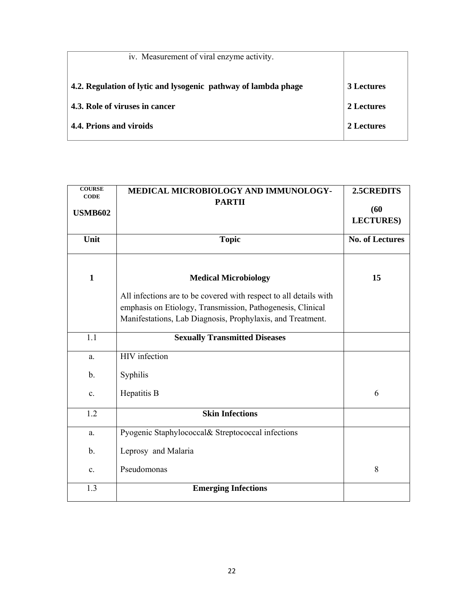| iv. Measurement of viral enzyme activity.                      |                   |
|----------------------------------------------------------------|-------------------|
| 4.2. Regulation of lytic and lysogenic pathway of lambda phage | <b>3 Lectures</b> |
| 4.3. Role of viruses in cancer                                 | 2 Lectures        |
| 4.4. Prions and viroids                                        | 2 Lectures        |
|                                                                |                   |

| <b>COURSE</b><br><b>CODE</b> | MEDICAL MICROBIOLOGY AND IMMUNOLOGY-                              | 2.5CREDITS             |
|------------------------------|-------------------------------------------------------------------|------------------------|
|                              | <b>PARTII</b>                                                     | (60)                   |
| <b>USMB602</b>               |                                                                   | <b>LECTURES</b> )      |
|                              |                                                                   |                        |
| Unit                         | <b>Topic</b>                                                      | <b>No. of Lectures</b> |
|                              |                                                                   |                        |
| $\mathbf{1}$                 | <b>Medical Microbiology</b>                                       | 15                     |
|                              | All infections are to be covered with respect to all details with |                        |
|                              | emphasis on Etiology, Transmission, Pathogenesis, Clinical        |                        |
|                              | Manifestations, Lab Diagnosis, Prophylaxis, and Treatment.        |                        |
| 1.1                          | <b>Sexually Transmitted Diseases</b>                              |                        |
|                              |                                                                   |                        |
| a.                           | HIV infection                                                     |                        |
| $\mathbf{b}$ .               | Syphilis                                                          |                        |
| $\mathbf{c}$ .               | Hepatitis B                                                       | 6                      |
| 1.2                          | <b>Skin Infections</b>                                            |                        |
| a.                           | Pyogenic Staphylococcal& Streptococcal infections                 |                        |
| $b$ .                        | Leprosy and Malaria                                               |                        |
| $\mathbf{c}$ .               | Pseudomonas                                                       | 8                      |
| 1.3                          | <b>Emerging Infections</b>                                        |                        |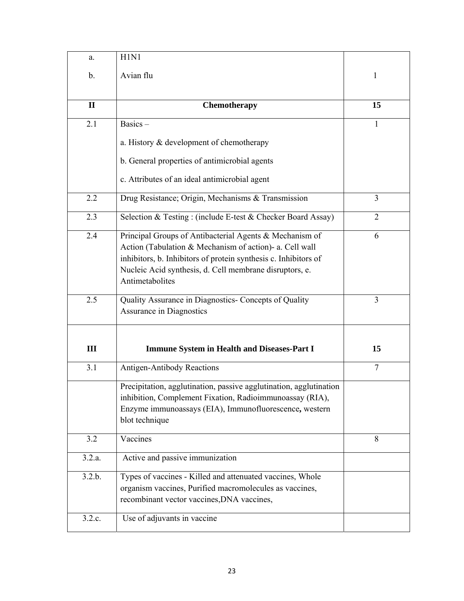| a.               | H1N1                                                                                                                                                                                                                                                                |                |
|------------------|---------------------------------------------------------------------------------------------------------------------------------------------------------------------------------------------------------------------------------------------------------------------|----------------|
| b.               | Avian flu                                                                                                                                                                                                                                                           | 1              |
|                  |                                                                                                                                                                                                                                                                     |                |
| $\mathbf{I}$     | Chemotherapy                                                                                                                                                                                                                                                        | 15             |
| 2.1              | $Basis -$                                                                                                                                                                                                                                                           | 1              |
|                  | a. History & development of chemotherapy                                                                                                                                                                                                                            |                |
|                  | b. General properties of antimicrobial agents                                                                                                                                                                                                                       |                |
|                  | c. Attributes of an ideal antimicrobial agent                                                                                                                                                                                                                       |                |
| 2.2              | Drug Resistance; Origin, Mechanisms & Transmission                                                                                                                                                                                                                  | 3              |
| 2.3              | Selection & Testing: (include E-test & Checker Board Assay)                                                                                                                                                                                                         | $\overline{2}$ |
| 2.4              | Principal Groups of Antibacterial Agents & Mechanism of<br>Action (Tabulation & Mechanism of action)- a. Cell wall<br>inhibitors, b. Inhibitors of protein synthesis c. Inhibitors of<br>Nucleic Acid synthesis, d. Cell membrane disruptors, e.<br>Antimetabolites | 6              |
| 2.5              | Quality Assurance in Diagnostics- Concepts of Quality<br>Assurance in Diagnostics                                                                                                                                                                                   | 3              |
| III              | <b>Immune System in Health and Diseases-Part I</b>                                                                                                                                                                                                                  | 15             |
| 3.1              | <b>Antigen-Antibody Reactions</b>                                                                                                                                                                                                                                   | $\overline{7}$ |
|                  | Precipitation, agglutination, passive agglutination, agglutination<br>inhibition, Complement Fixation, Radioimmunoassay (RIA),<br>Enzyme immunoassays (EIA), Immunofluorescence, western<br>blot technique                                                          |                |
| 3.2              | Vaccines                                                                                                                                                                                                                                                            | 8              |
| 3.2.a.           | Active and passive immunization                                                                                                                                                                                                                                     |                |
| 3.2.b.<br>3.2.c. | Types of vaccines - Killed and attenuated vaccines, Whole<br>organism vaccines, Purified macromolecules as vaccines,<br>recombinant vector vaccines, DNA vaccines,<br>Use of adjuvants in vaccine                                                                   |                |
|                  |                                                                                                                                                                                                                                                                     |                |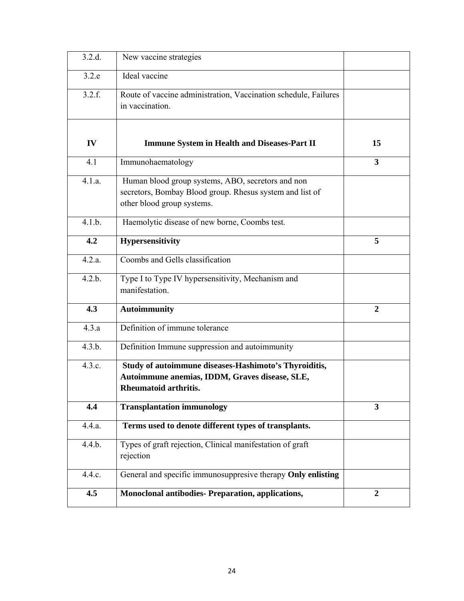| 3.2.d. | New vaccine strategies                                                                                                                      |                         |
|--------|---------------------------------------------------------------------------------------------------------------------------------------------|-------------------------|
| 3.2.e  | Ideal vaccine                                                                                                                               |                         |
| 3.2.f. | Route of vaccine administration, Vaccination schedule, Failures<br>in vaccination.                                                          |                         |
| IV     | <b>Immune System in Health and Diseases-Part II</b>                                                                                         | 15                      |
| 4.1    | Immunohaematology                                                                                                                           | $\overline{\mathbf{3}}$ |
| 4.1.a. | Human blood group systems, ABO, secretors and non<br>secretors, Bombay Blood group. Rhesus system and list of<br>other blood group systems. |                         |
| 4.1.b. | Haemolytic disease of new borne, Coombs test.                                                                                               |                         |
| 4.2    | Hypersensitivity                                                                                                                            | 5                       |
| 4.2.a. | Coombs and Gells classification                                                                                                             |                         |
| 4.2.b. | Type I to Type IV hypersensitivity, Mechanism and<br>manifestation.                                                                         |                         |
| 4.3    | <b>Autoimmunity</b>                                                                                                                         | $\overline{2}$          |
| 4.3.a  | Definition of immune tolerance                                                                                                              |                         |
| 4.3.b. | Definition Immune suppression and autoimmunity                                                                                              |                         |
| 4.3.c. | Study of autoimmune diseases-Hashimoto's Thyroiditis,<br>Autoimmune anemias, IDDM, Graves disease, SLE,<br>Rheumatoid arthritis.            |                         |
| 4.4    | <b>Transplantation immunology</b>                                                                                                           | 3                       |
| 4.4.a. | Terms used to denote different types of transplants.                                                                                        |                         |
| 4.4.b. | Types of graft rejection, Clinical manifestation of graft<br>rejection                                                                      |                         |
| 4.4.c. | General and specific immunosuppresive therapy Only enlisting                                                                                |                         |
| 4.5    | Monoclonal antibodies- Preparation, applications,                                                                                           | $\boldsymbol{2}$        |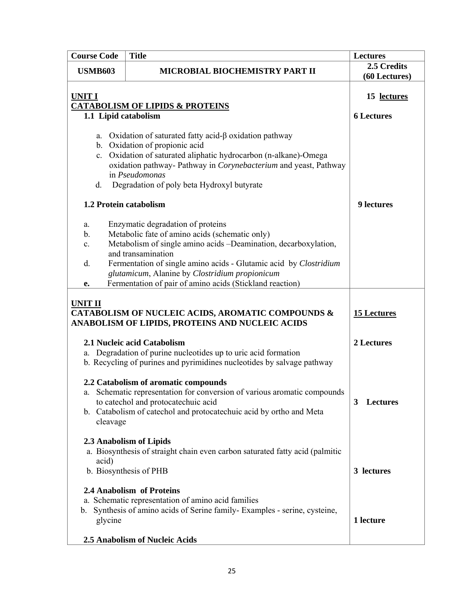|                | <b>Course Code</b>                                                                  | <b>Title</b>                                                                                                                                                                                                                                                                                                                                                    | <b>Lectures</b>                  |
|----------------|-------------------------------------------------------------------------------------|-----------------------------------------------------------------------------------------------------------------------------------------------------------------------------------------------------------------------------------------------------------------------------------------------------------------------------------------------------------------|----------------------------------|
| <b>USMB603</b> |                                                                                     | MICROBIAL BIOCHEMISTRY PART II                                                                                                                                                                                                                                                                                                                                  | 2.5 Credits<br>(60 Lectures)     |
|                | <b>UNIT I</b><br><b>CATABOLISM OF LIPIDS &amp; PROTEINS</b><br>1.1 Lipid catabolism |                                                                                                                                                                                                                                                                                                                                                                 | 15 lectures<br><b>6 Lectures</b> |
|                | d.                                                                                  | a. Oxidation of saturated fatty acid- $\beta$ oxidation pathway<br>b. Oxidation of propionic acid<br>c. Oxidation of saturated aliphatic hydrocarbon (n-alkane)-Omega<br>oxidation pathway- Pathway in Corynebacterium and yeast, Pathway<br>in Pseudomonas<br>Degradation of poly beta Hydroxyl butyrate                                                       |                                  |
|                | 1.2 Protein catabolism<br>a.<br>b.<br>c.<br>d.<br>e.                                | Enzymatic degradation of proteins<br>Metabolic fate of amino acids (schematic only)<br>Metabolism of single amino acids -Deamination, decarboxylation,<br>and transamination<br>Fermentation of single amino acids - Glutamic acid by Clostridium<br>glutamicum, Alanine by Clostridium propionicum<br>Fermentation of pair of amino acids (Stickland reaction) | <b>9</b> lectures                |
|                | <b>UNIT II</b>                                                                      | CATABOLISM OF NUCLEIC ACIDS, AROMATIC COMPOUNDS &<br>ANABOLISM OF LIPIDS, PROTEINS AND NUCLEIC ACIDS                                                                                                                                                                                                                                                            | <b>15 Lectures</b>               |
|                |                                                                                     | 2.1 Nucleic acid Catabolism<br>a. Degradation of purine nucleotides up to uric acid formation<br>b. Recycling of purines and pyrimidines nucleotides by salvage pathway                                                                                                                                                                                         | 2 Lectures                       |
|                | cleavage                                                                            | 2.2 Catabolism of aromatic compounds<br>a. Schematic representation for conversion of various aromatic compounds<br>to catechol and protocatechuic acid<br>b. Catabolism of catechol and protocatechuic acid by ortho and Meta                                                                                                                                  | 3<br><b>Lectures</b>             |
|                | acid)                                                                               | 2.3 Anabolism of Lipids<br>a. Biosynthesis of straight chain even carbon saturated fatty acid (palmitic<br>b. Biosynthesis of PHB<br>2.4 Anabolism of Proteins                                                                                                                                                                                                  | 3 lectures                       |
|                | glycine                                                                             | a. Schematic representation of amino acid families<br>b. Synthesis of amino acids of Serine family-Examples - serine, cysteine,<br>2.5 Anabolism of Nucleic Acids                                                                                                                                                                                               | 1 lecture                        |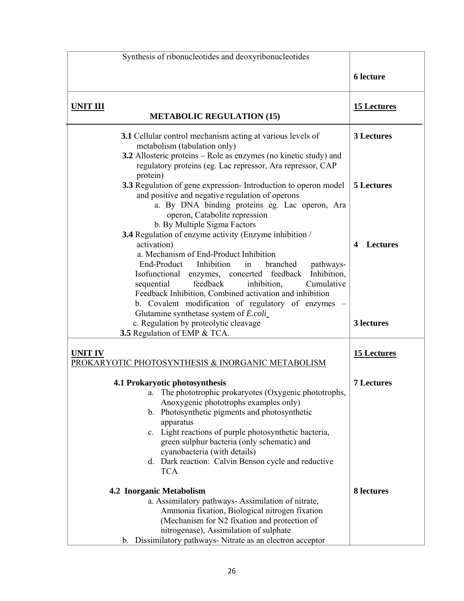| Synthesis of ribonucleotides and deoxyribonucleotides                                                                                                                                                                                                                                                                                                                                                             |                                 |
|-------------------------------------------------------------------------------------------------------------------------------------------------------------------------------------------------------------------------------------------------------------------------------------------------------------------------------------------------------------------------------------------------------------------|---------------------------------|
|                                                                                                                                                                                                                                                                                                                                                                                                                   | <b>6</b> lecture                |
| <b>UNIT III</b><br><b>METABOLIC REGULATION (15)</b>                                                                                                                                                                                                                                                                                                                                                               | <b>15 Lectures</b>              |
| 3.1 Cellular control mechanism acting at various levels of<br>metabolism (tabulation only)<br>3.2 Allosteric proteins – Role as enzymes (no kinetic study) and<br>regulatory proteins (eg. Lac repressor, Ara repressor, CAP<br>protein)<br>3.3 Regulation of gene expression- Introduction to operon model<br>and positive and negative regulation of operons<br>a. By DNA binding proteins eg. Lac operon, Ara  | 3 Lectures<br><b>5 Lectures</b> |
| operon, Catabolite repression<br>b. By Multiple Sigma Factors<br>3.4 Regulation of enzyme activity (Enzyme inhibition /<br>activation)<br>a. Mechanism of End-Product Inhibition<br>End-Product Inhibition<br>in<br>branched<br>pathways-<br>Inhibition,<br>Isofunctional enzymes, concerted feedback<br>Cumulative<br>feedback<br>inhibition,<br>sequential                                                      | <b>Lectures</b><br>4            |
| Feedback Inhibition, Combined activation and inhibition<br>b. Covalent modification of regulatory of enzymes -<br>Glutamine synthetase system of E.coli_<br>c. Regulation by proteolytic cleavage<br>3.5 Regulation of EMP & TCA.                                                                                                                                                                                 | 3 lectures                      |
| <b>UNITIV</b><br>PROKARYOTIC PHOTOSYNTHESIS & INORGANIC METABOLISM                                                                                                                                                                                                                                                                                                                                                | <b>15 Lectures</b>              |
| 4.1 Prokaryotic photosynthesis<br>. The phototrophic prokaryotes (Oxygenic phototrophs,<br>a.<br>Anoxygenic phototrophs examples only)<br>b. Photosynthetic pigments and photosynthetic<br>apparatus<br>c. Light reactions of purple photosynthetic bacteria,<br>green sulphur bacteria (only schematic) and<br>cyanobacteria (with details)<br>d. Dark reaction: Calvin Benson cycle and reductive<br><b>TCA</b> | <b>7 Lectures</b>               |
| <b>4.2 Inorganic Metabolism</b><br>a. Assimilatory pathways- Assimilation of nitrate,<br>Ammonia fixation, Biological nitrogen fixation<br>(Mechanism for N2 fixation and protection of<br>nitrogenase), Assimilation of sulphate<br>Dissimilatory pathways- Nitrate as an electron acceptor<br>b.                                                                                                                | 8 lectures                      |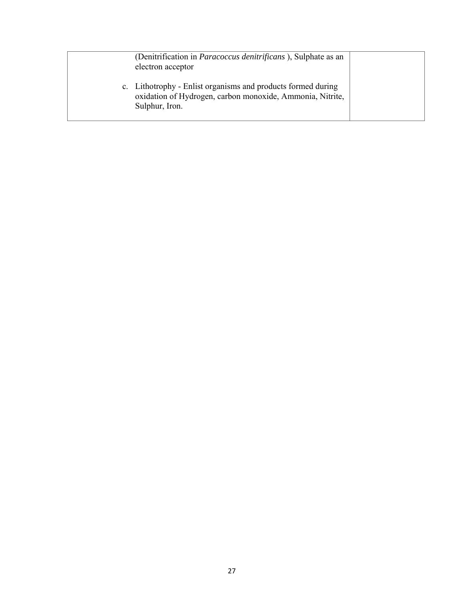| (Denitrification in <i>Paracoccus denitrificans</i> ), Sulphate as an<br>electron acceptor                                                  |  |
|---------------------------------------------------------------------------------------------------------------------------------------------|--|
| c. Lithotrophy - Enlist organisms and products formed during<br>oxidation of Hydrogen, carbon monoxide, Ammonia, Nitrite,<br>Sulphur, Iron. |  |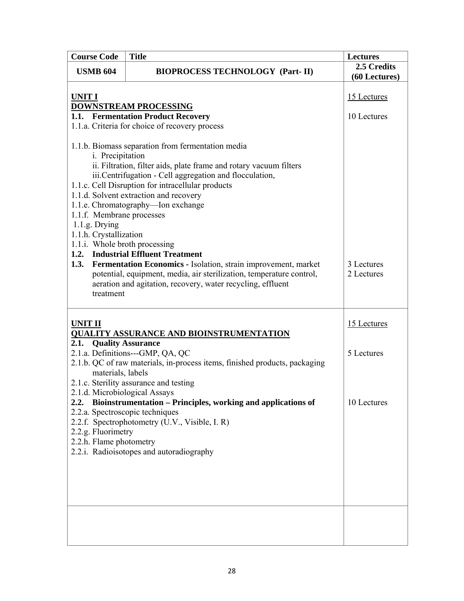| <b>Course Code</b>                                                                                                                               | <b>Title</b>                                                                                                                                                                                                                                                                                                                                                                                                                                                                                                                                                           | <b>Lectures</b>              |
|--------------------------------------------------------------------------------------------------------------------------------------------------|------------------------------------------------------------------------------------------------------------------------------------------------------------------------------------------------------------------------------------------------------------------------------------------------------------------------------------------------------------------------------------------------------------------------------------------------------------------------------------------------------------------------------------------------------------------------|------------------------------|
| <b>USMB 604</b>                                                                                                                                  | <b>BIOPROCESS TECHNOLOGY (Part-II)</b>                                                                                                                                                                                                                                                                                                                                                                                                                                                                                                                                 | 2.5 Credits<br>(60 Lectures) |
| <b>UNIT I</b><br><b>DOWNSTREAM PROCESSING</b>                                                                                                    |                                                                                                                                                                                                                                                                                                                                                                                                                                                                                                                                                                        | 15 Lectures                  |
|                                                                                                                                                  | 1.1. Fermentation Product Recovery<br>1.1.a. Criteria for choice of recovery process                                                                                                                                                                                                                                                                                                                                                                                                                                                                                   | 10 Lectures                  |
| i. Precipitation<br>1.1.f. Membrane processes<br>$1.1.g.$ Drying<br>1.1.h. Crystallization<br>1.1.i. Whole broth processing<br>1.3.<br>treatment | 1.1.b. Biomass separation from fermentation media<br>ii. Filtration, filter aids, plate frame and rotary vacuum filters<br>iii.Centrifugation - Cell aggregation and flocculation,<br>1.1.c. Cell Disruption for intracellular products<br>1.1.d. Solvent extraction and recovery<br>1.1.e. Chromatography-Ion exchange<br>1.2. Industrial Effluent Treatment<br>Fermentation Economics - Isolation, strain improvement, market<br>potential, equipment, media, air sterilization, temperature control,<br>aeration and agitation, recovery, water recycling, effluent | 3 Lectures<br>2 Lectures     |
| <b>UNIT II</b>                                                                                                                                   | <b>QUALITY ASSURANCE AND BIOINSTRUMENTATION</b>                                                                                                                                                                                                                                                                                                                                                                                                                                                                                                                        | 15 Lectures                  |
| 2.1. Quality Assurance<br>materials, labels                                                                                                      | 2.1.a. Definitions---GMP, QA, QC<br>2.1.b. QC of raw materials, in-process items, finished products, packaging<br>2.1.c. Sterility assurance and testing                                                                                                                                                                                                                                                                                                                                                                                                               | 5 Lectures                   |
| 2.1.d. Microbiological Assays<br>2.2.<br>2.2.a. Spectroscopic techniques<br>2.2.g. Fluorimetry<br>2.2.h. Flame photometry                        | Bioinstrumentation – Principles, working and applications of<br>2.2.f. Spectrophotometry (U.V., Visible, I. R)<br>2.2.i. Radioisotopes and autoradiography                                                                                                                                                                                                                                                                                                                                                                                                             | 10 Lectures                  |
|                                                                                                                                                  |                                                                                                                                                                                                                                                                                                                                                                                                                                                                                                                                                                        |                              |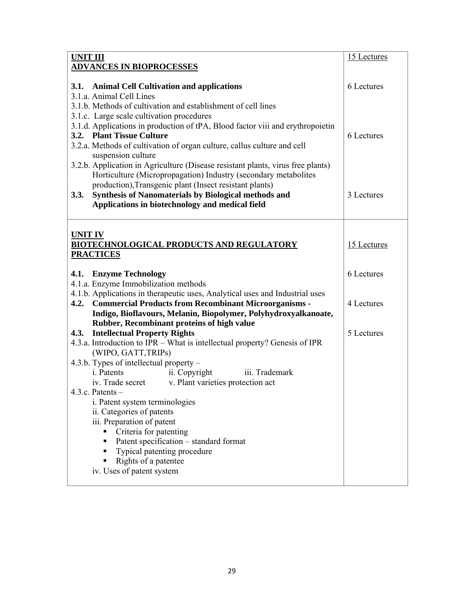| <b>UNIT III</b>                                                                                                                                                                                                                                                                                                                                                                                                                                     | 15 Lectures |
|-----------------------------------------------------------------------------------------------------------------------------------------------------------------------------------------------------------------------------------------------------------------------------------------------------------------------------------------------------------------------------------------------------------------------------------------------------|-------------|
| <b>ADVANCES IN BIOPROCESSES</b>                                                                                                                                                                                                                                                                                                                                                                                                                     |             |
| 3.1. Animal Cell Cultivation and applications<br>3.1.a. Animal Cell Lines<br>3.1.b. Methods of cultivation and establishment of cell lines                                                                                                                                                                                                                                                                                                          | 6 Lectures  |
| 3.1.c. Large scale cultivation procedures<br>3.1.d. Applications in production of tPA, Blood factor viii and erythropoietin<br>3.2. Plant Tissue Culture<br>3.2.a. Methods of cultivation of organ culture, callus culture and cell<br>suspension culture<br>3.2.b. Application in Agriculture (Disease resistant plants, virus free plants)                                                                                                        | 6 Lectures  |
| Horticulture (Micropropagation) Industry (secondary metabolites<br>production), Transgenic plant (Insect resistant plants)<br><b>Synthesis of Nanomaterials by Biological methods and</b><br>3.3.<br>Applications in biotechnology and medical field                                                                                                                                                                                                | 3 Lectures  |
| <b>UNIT IV</b><br><b>BIOTECHNOLOGICAL PRODUCTS AND REGULATORY</b><br><b>PRACTICES</b>                                                                                                                                                                                                                                                                                                                                                               | 15 Lectures |
| 4.1. Enzyme Technology<br>4.1.a. Enzyme Immobilization methods                                                                                                                                                                                                                                                                                                                                                                                      | 6 Lectures  |
| 4.1.b. Applications in therapeutic uses, Analytical uses and Industrial uses<br>4.2. Commercial Products from Recombinant Microorganisms -<br>Indigo, Bioflavours, Melanin, Biopolymer, Polyhydroxyalkanoate,                                                                                                                                                                                                                                       | 4 Lectures  |
| Rubber, Recombinant proteins of high value<br><b>Intellectual Property Rights</b><br>4.3.<br>4.3.a. Introduction to IPR – What is intellectual property? Genesis of IPR                                                                                                                                                                                                                                                                             | 5 Lectures  |
| (WIPO, GATT, TRIPs)<br>4.3.b. Types of intellectual property –<br>i. Patents<br>ii. Copyright<br>iii. Trademark<br>iv. Trade secret<br>v. Plant varieties protection act<br>4.3.c. Patents $-$<br>i. Patent system terminologies<br>ii. Categories of patents<br>iii. Preparation of patent<br>Criteria for patenting<br>Patent specification - standard format<br>Typical patenting procedure<br>Rights of a patentee<br>iv. Uses of patent system |             |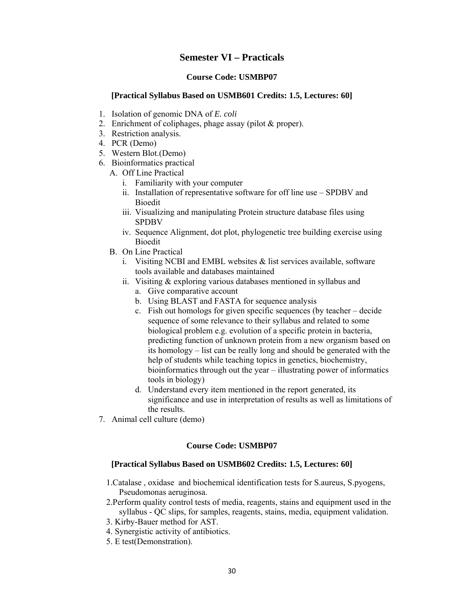## **Semester VI – Practicals**

### **Course Code: USMBP07**

#### **[Practical Syllabus Based on USMB601 Credits: 1.5, Lectures: 60]**

- 1. Isolation of genomic DNA of *E. coli*
- 2. Enrichment of coliphages, phage assay (pilot & proper).
- 3. Restriction analysis.
- 4. PCR (Demo)
- 5. Western Blot.(Demo)
- 6. Bioinformatics practical
	- A. Off Line Practical
		- i. Familiarity with your computer
		- ii. Installation of representative software for off line use SPDBV and Bioedit
		- iii. Visualizing and manipulating Protein structure database files using SPDBV
		- iv. Sequence Alignment, dot plot, phylogenetic tree building exercise using Bioedit
	- B. On Line Practical
		- i. Visiting NCBI and EMBL websites  $\&$  list services available, software tools available and databases maintained
		- ii. Visiting & exploring various databases mentioned in syllabus and
			- a. Give comparative account
			- b. Using BLAST and FASTA for sequence analysis
			- c. Fish out homologs for given specific sequences (by teacher decide sequence of some relevance to their syllabus and related to some biological problem e.g. evolution of a specific protein in bacteria, predicting function of unknown protein from a new organism based on its homology – list can be really long and should be generated with the help of students while teaching topics in genetics, biochemistry, bioinformatics through out the year – illustrating power of informatics tools in biology)
			- d. Understand every item mentioned in the report generated, its significance and use in interpretation of results as well as limitations of the results.
- 7. Animal cell culture (demo)

#### **Course Code: USMBP07**

#### **[Practical Syllabus Based on USMB602 Credits: 1.5, Lectures: 60]**

- 1.Catalase , oxidase and biochemical identification tests for S.aureus, S.pyogens, Pseudomonas aeruginosa.
- 2.Perform quality control tests of media, reagents, stains and equipment used in the syllabus - QC slips, for samples, reagents, stains, media, equipment validation.
- 3. Kirby-Bauer method for AST.
- 4. Synergistic activity of antibiotics.
- 5. E test(Demonstration).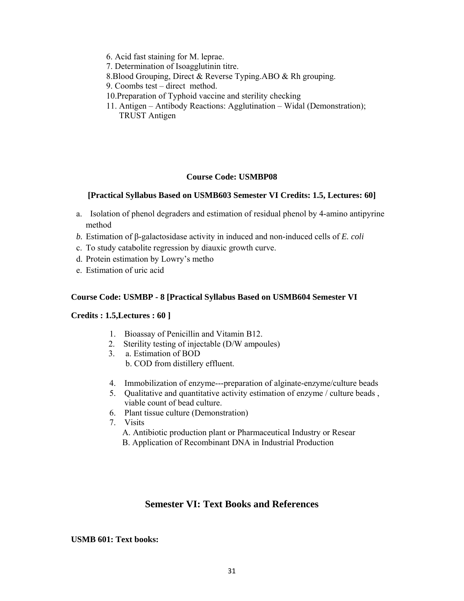- 6. Acid fast staining for M. leprae.
- 7. Determination of Isoagglutinin titre.
- 8.Blood Grouping, Direct & Reverse Typing.ABO & Rh grouping.
- 9. Coombs test direct method.
- 10.Preparation of Typhoid vaccine and sterility checking
- 11. Antigen Antibody Reactions: Agglutination Widal (Demonstration); TRUST Antigen

## **Course Code: USMBP08**

## **[Practical Syllabus Based on USMB603 Semester VI Credits: 1.5, Lectures: 60]**

- a. Isolation of phenol degraders and estimation of residual phenol by 4-amino antipyrine method
- *b.* Estimation of β-galactosidase activity in induced and non-induced cells of *E. coli*
- c. To study catabolite regression by diauxic growth curve.
- d. Protein estimation by Lowry's metho
- e. Estimation of uric acid

## **Course Code: USMBP - 8 [Practical Syllabus Based on USMB604 Semester VI**

### **Credits : 1.5,Lectures : 60 ]**

- 1. Bioassay of Penicillin and Vitamin B12.
- 2. Sterility testing of injectable (D/W ampoules)
- 3. a. Estimation of BOD b. COD from distillery effluent.
- 4. Immobilization of enzyme---preparation of alginate-enzyme/culture beads
- 5. Qualitative and quantitative activity estimation of enzyme / culture beads , viable count of bead culture.
- 6. Plant tissue culture (Demonstration)
- 7. Visits
	- A. Antibiotic production plant or Pharmaceutical Industry or Resear
	- B. Application of Recombinant DNA in Industrial Production

## **Semester VI: Text Books and References**

### **USMB 601: Text books:**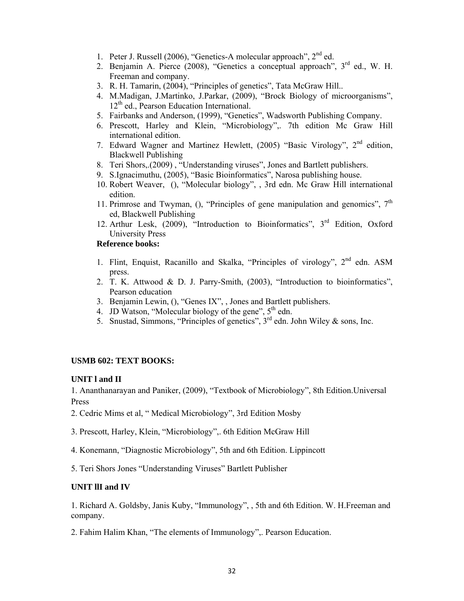- 1. Peter J. Russell (2006), "Genetics-A molecular approach", 2nd ed.
- 2. Benjamin A. Pierce (2008), "Genetics a conceptual approach",  $3<sup>rd</sup>$  ed., W. H. Freeman and company.
- 3. R. H. Tamarin, (2004), "Principles of genetics", Tata McGraw Hill..
- 4. M.Madigan, J.Martinko, J.Parkar, (2009), "Brock Biology of microorganisms",  $12<sup>th</sup>$  ed., Pearson Education International.
- 5. Fairbanks and Anderson, (1999), "Genetics", Wadsworth Publishing Company.
- 6. Prescott, Harley and Klein, "Microbiology",. 7th edition Mc Graw Hill international edition.
- 7. Edward Wagner and Martinez Hewlett, (2005) "Basic Virology", 2nd edition, Blackwell Publishing
- 8. Teri Shors,.(2009) , "Understanding viruses", Jones and Bartlett publishers.
- 9. S.Ignacimuthu, (2005), "Basic Bioinformatics", Narosa publishing house.
- 10. Robert Weaver, (), "Molecular biology", , 3rd edn. Mc Graw Hill international edition.
- 11. Primrose and Twyman, (), "Principles of gene manipulation and genomics",  $7<sup>th</sup>$ ed, Blackwell Publishing
- 12. Arthur Lesk, (2009), "Introduction to Bioinformatics", 3rd Edition, Oxford University Press

## **Reference books:**

- 1. Flint, Enquist, Racanillo and Skalka, "Principles of virology", 2<sup>nd</sup> edn. ASM press.
- 2. T. K. Attwood & D. J. Parry-Smith, (2003), "Introduction to bioinformatics", Pearson education
- 3. Benjamin Lewin, (), "Genes IX", , Jones and Bartlett publishers.
- 4. JD Watson, "Molecular biology of the gene",  $5<sup>th</sup>$  edn.
- 5. Snustad, Simmons, "Principles of genetics",  $3<sup>rd</sup>$  edn. John Wiley & sons, Inc.

#### **USMB 602: TEXT BOOKS:**

### **UNIT l and II**

1. Ananthanarayan and Paniker, (2009), "Textbook of Microbiology", 8th Edition.Universal Press

- 2. Cedric Mims et al, " Medical Microbiology", 3rd Edition Mosby
- 3. Prescott, Harley, Klein, "Microbiology",. 6th Edition McGraw Hill
- 4. Konemann, "Diagnostic Microbiology", 5th and 6th Edition. Lippincott
- 5. Teri Shors Jones "Understanding Viruses" Bartlett Publisher

#### **UNIT llI and IV**

1. Richard A. Goldsby, Janis Kuby, "Immunology", , 5th and 6th Edition. W. H.Freeman and company.

2. Fahim Halim Khan, "The elements of Immunology",. Pearson Education.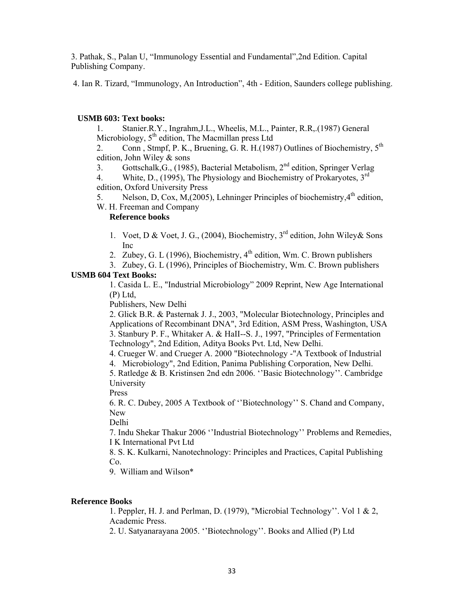3. Pathak, S., Palan U, "Immunology Essential and Fundamental",2nd Edition. Capital Publishing Company.

4. Ian R. Tizard, "Immunology, An Introduction", 4th - Edition, Saunders college publishing.

## **USMB 603: Text books:**

1. Stanier.R.Y., Ingrahm,J.L., Wheelis, M.L., Painter, R.R,.(1987) General Microbiology,  $5<sup>th</sup>$  edition, The Macmillan press Ltd

2. Conn, Stmpf, P. K., Bruening, G. R. H.(1987) Outlines of Biochemistry,  $5^{th}$ edition, John Wiley & sons

3. Gottschalk,G., (1985), Bacterial Metabolism, 2nd edition, Springer Verlag

4. White, D., (1995), The Physiology and Biochemistry of Prokaryotes, 3<sup>rd</sup> edition, Oxford University Press

5. Nelson, D, Cox, M,(2005), Lehninger Principles of biochemistry, $4^{th}$  edition,

W. H. Freeman and Company

## **Reference books**

- 1. Voet, D & Voet, J. G., (2004), Biochemistry, 3<sup>rd</sup> edition, John Wiley & Sons Inc
- 2. Zubey, G. L (1996), Biochemistry,  $4<sup>th</sup>$  edition, Wm. C. Brown publishers
- 3. Zubey, G. L (1996), Principles of Biochemistry, Wm. C. Brown publishers **USMB 604 Text Books:**

1. Casida L. E., "Industrial Microbiology" 2009 Reprint, New Age International (P) Ltd,

Publishers, New Delhi

2. Glick B.R. & Pasternak J. J., 2003, "Molecular Biotechnology, Principles and Applications of Recombinant DNA", 3rd Edition, ASM Press, Washington, USA 3. Stanbury P. F., Whitaker A. & HaII--S. J., 1997, "Principles of Fermentation Technology", 2nd Edition, Aditya Books Pvt. Ltd, New Delhi.

4. Crueger W. and Crueger A. 2000 "Biotechnology -"A Textbook of Industrial

4. Microbiology", 2nd Edition, Panima Publishing Corporation, New Delhi.

5. Ratledge & B. Kristinsen 2nd edn 2006. ''Basic Biotechnology''. Cambridge University

Press

6. R. C. Dubey, 2005 A Textbook of ''Biotechnology'' S. Chand and Company, New

Delhi

7. Indu Shekar Thakur 2006 ''Industrial Biotechnology'' Problems and Remedies, I K International Pvt Ltd

8. S. K. Kulkarni, Nanotechnology: Principles and Practices, Capital Publishing Co.

9. William and Wilson\*

## **Reference Books**

1. Peppler, H. J. and Perlman, D. (1979), "Microbial Technology''. Vol 1 & 2, Academic Press.

2. U. Satyanarayana 2005. ''Biotechnology''. Books and Allied (P) Ltd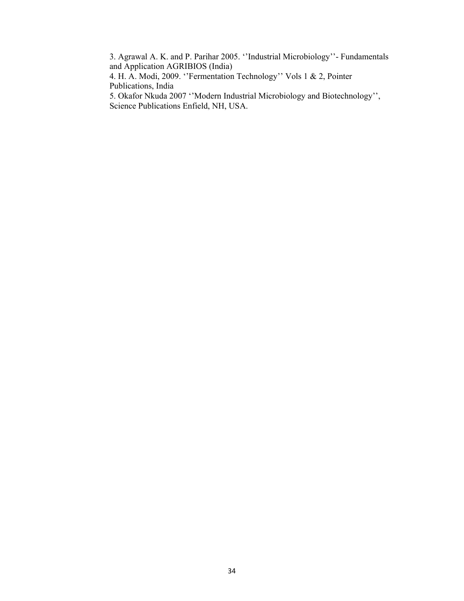3. Agrawal A. K. and P. Parihar 2005. ''Industrial Microbiology''- Fundamentals and Application AGRIBIOS (India)

4. H. A. Modi, 2009. ''Fermentation Technology'' Vols 1 & 2, Pointer Publications, India

5. Okafor Nkuda 2007 ''Modern Industrial Microbiology and Biotechnology'', Science Publications Enfield, NH, USA.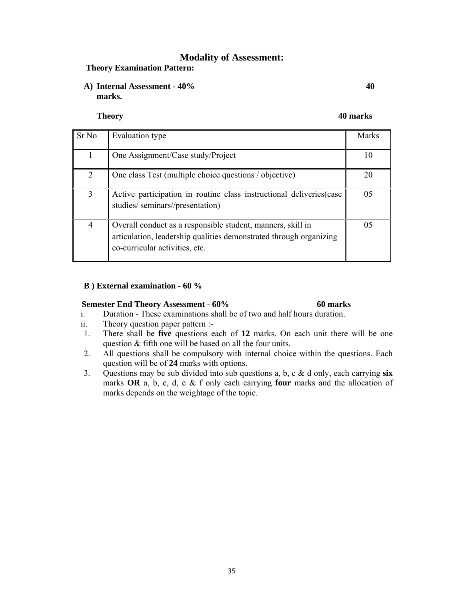# **Modality of Assessment:**

### **Theory Examination Pattern:**

**A) Internal Assessment - 40% 40 marks.** 

**Theory 40 marks**

| Sr No                       | Evaluation type                                                                                                                                                     | <b>Marks</b> |
|-----------------------------|---------------------------------------------------------------------------------------------------------------------------------------------------------------------|--------------|
|                             | One Assignment/Case study/Project                                                                                                                                   | 10           |
| $\mathcal{D}_{\mathcal{L}}$ | One class Test (multiple choice questions / objective)                                                                                                              | 20           |
| 3                           | Active participation in routine class instructional deliveries(case<br>studies/seminars//presentation)                                                              | 05           |
| 4                           | Overall conduct as a responsible student, manners, skill in<br>articulation, leadership qualities demonstrated through organizing<br>co-curricular activities, etc. | 05           |

### **B ) External examination - 60 %**

#### **Semester End Theory Assessment - 60% 60 marks**

- i. Duration These examinations shall be of two and half hours duration.
- ii. Theory question paper pattern :-
- 1. There shall be **five** questions each of **12** marks. On each unit there will be one question & fifth one will be based on all the four units.
- 2. All questions shall be compulsory with internal choice within the questions. Each question will be of **24** marks with options.
- 3. Questions may be sub divided into sub questions a, b, c & d only, each carrying **six** marks **OR** a, b, c, d, e & f only each carrying **four** marks and the allocation of marks depends on the weightage of the topic.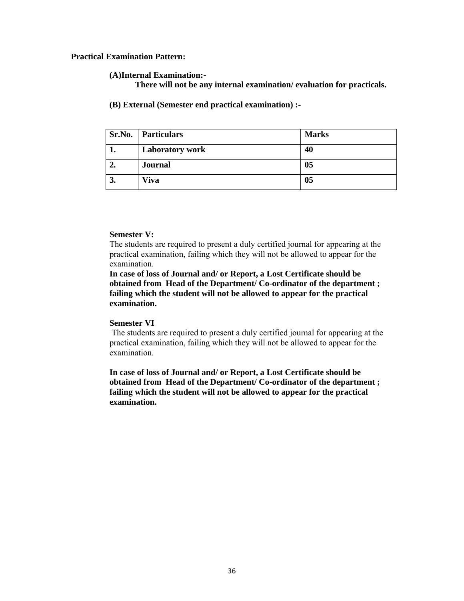#### **Practical Examination Pattern:**

#### **(A)Internal Examination:-**

**There will not be any internal examination/ evaluation for practicals.** 

**(B) External (Semester end practical examination) :-** 

| Sr.No. | <b>Particulars</b>     | <b>Marks</b> |
|--------|------------------------|--------------|
|        | <b>Laboratory work</b> | 40           |
| 2.     | <b>Journal</b>         | 05           |
| 3.     | <b>Viva</b>            | 05           |

#### **Semester V:**

The students are required to present a duly certified journal for appearing at the practical examination, failing which they will not be allowed to appear for the examination.

**In case of loss of Journal and/ or Report, a Lost Certificate should be obtained from Head of the Department/ Co-ordinator of the department ; failing which the student will not be allowed to appear for the practical examination.** 

### **Semester VI**

 The students are required to present a duly certified journal for appearing at the practical examination, failing which they will not be allowed to appear for the examination.

**In case of loss of Journal and/ or Report, a Lost Certificate should be obtained from Head of the Department/ Co-ordinator of the department ; failing which the student will not be allowed to appear for the practical examination.**